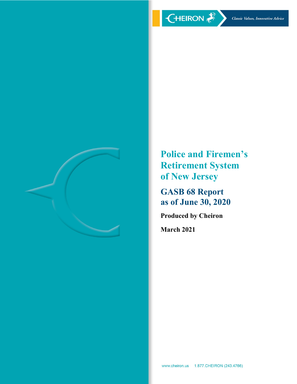

**Police and Firemen's Retirement System of New Jersey** 

**GASB 68 Report as of June 30, 2020** 

**Produced by Cheiron** 

**March 2021**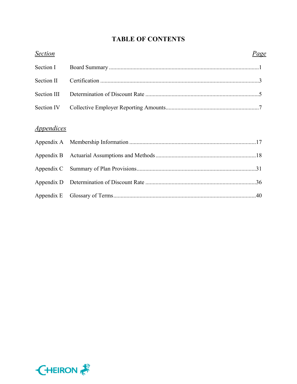# **TABLE OF CONTENTS**

| <b>Section</b>                  | Page |  |
|---------------------------------|------|--|
| Section I                       |      |  |
| Section II                      |      |  |
| Section III                     |      |  |
| Section IV                      |      |  |
| <i><u><b>Appendices</b></u></i> |      |  |
|                                 |      |  |
|                                 |      |  |
|                                 |      |  |
|                                 |      |  |
|                                 |      |  |
|                                 |      |  |

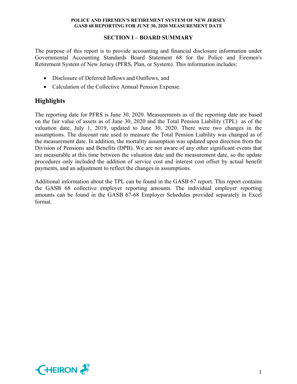## **SECTION I – BOARD SUMMARY**

The purpose of this report is to provide accounting and financial disclosure information under Governmental Accounting Standards Board Statement 68 for the Police and Firemen's Retirement System of New Jersey (PFRS, Plan, or System). This information includes:

- Disclosure of Deferred Inflows and Outflows, and
- Calculation of the Collective Annual Pension Expense.

## **Highlights**

The reporting date for PFRS is June 30, 2020. Measurements as of the reporting date are based on the fair value of assets as of June 30, 2020 and the Total Pension Liability (TPL) as of the valuation date, July 1, 2019, updated to June 30, 2020. There were two changes in the assumptions. The discount rate used to measure the Total Pension Liability was changed as of the measurement date. In addition, the mortality assumption was updated upon direction from the Division of Pensions and Benefits (DPB). We are not aware of any other significant events that are measurable at this time between the valuation date and the measurement date, so the update procedures only included the addition of service cost and interest cost offset by actual benefit payments, and an adjustment to reflect the changes in assumptions.

Additional information about the TPL can be found in the GASB 67 report. This report contains the GASB 68 collective employer reporting amounts. The individual employer reporting amounts can be found in the GASB 67-68 Employer Schedules provided separately in Excel format.

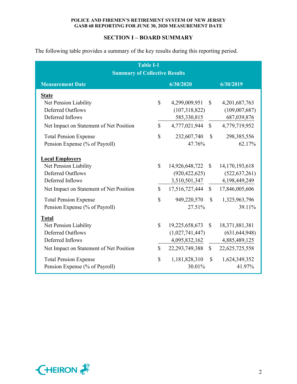## **SECTION I – BOARD SUMMARY**

The following table provides a summary of the key results during this reporting period.

| <b>Table I-1</b><br><b>Summary of Collective Results</b>                                                                                                                                           |                                    |                                                                                                    |                                              |                                                                                                 |  |  |  |  |  |  |  |  |  |
|----------------------------------------------------------------------------------------------------------------------------------------------------------------------------------------------------|------------------------------------|----------------------------------------------------------------------------------------------------|----------------------------------------------|-------------------------------------------------------------------------------------------------|--|--|--|--|--|--|--|--|--|
| 6/30/2020<br><b>Measurement Date</b><br>6/30/2019                                                                                                                                                  |                                    |                                                                                                    |                                              |                                                                                                 |  |  |  |  |  |  |  |  |  |
| <b>State</b><br>Net Pension Liability                                                                                                                                                              | $\mathbb{S}$                       | 4,299,009,951                                                                                      | $\mathbb{S}$                                 | 4,201,687,763                                                                                   |  |  |  |  |  |  |  |  |  |
| <b>Deferred Outflows</b><br>Deferred Inflows                                                                                                                                                       | $\mathbb{S}$                       | (107,318,822)<br>585,330,815<br>4,777,021,944                                                      | $\mathbb{S}$                                 | (109,007,687)<br>687,039,876                                                                    |  |  |  |  |  |  |  |  |  |
| Net Impact on Statement of Net Position<br><b>Total Pension Expense</b><br>Pension Expense (% of Payroll)                                                                                          | $\mathbb{S}$                       | 232,607,740<br>47.76%                                                                              | $\mathbb{S}$                                 | 4,779,719,952<br>298,385,556<br>62.17%                                                          |  |  |  |  |  |  |  |  |  |
| <b>Local Employers</b><br>Net Pension Liability<br><b>Deferred Outflows</b><br>Deferred Inflows                                                                                                    | $\mathbb{S}$                       | 14,926,648,722<br>(920, 422, 625)<br>3,510,501,347                                                 | $\mathbf{s}$                                 | 14, 170, 193, 618<br>(522, 637, 261)<br>4,198,449,249                                           |  |  |  |  |  |  |  |  |  |
| Net Impact on Statement of Net Position<br><b>Total Pension Expense</b><br>Pension Expense (% of Payroll)                                                                                          | $\mathbb{S}$<br>$\mathbb{S}$       | 17,516,727,444<br>949,220,570<br>27.51%                                                            | $\mathbb{S}$<br>$\mathbb{S}$                 | 17,846,005,606<br>1,325,963,796<br>39.11%                                                       |  |  |  |  |  |  |  |  |  |
| <b>Total</b><br>Net Pension Liability<br><b>Deferred Outflows</b><br>Deferred Inflows<br>Net Impact on Statement of Net Position<br><b>Total Pension Expense</b><br>Pension Expense (% of Payroll) | $\mathbb{S}$<br>$\mathbb{S}$<br>\$ | 19,225,658,673<br>(1,027,741,447)<br>4,095,832,162<br>22, 293, 749, 388<br>1,181,828,310<br>30.01% | $\mathbb{S}$<br>$\mathbb{S}$<br>$\mathbb{S}$ | 18,371,881,381<br>(631, 644, 948)<br>4,885,489,125<br>22,625,725,558<br>1,624,349,352<br>41.97% |  |  |  |  |  |  |  |  |  |

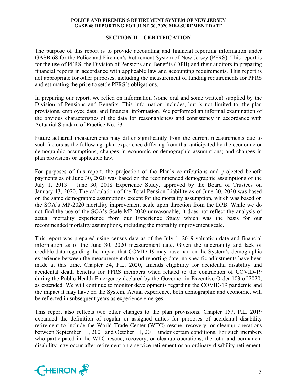## **SECTION II – CERTIFICATION**

The purpose of this report is to provide accounting and financial reporting information under GASB 68 for the Police and Firemen's Retirement System of New Jersey (PFRS). This report is for the use of PFRS, the Division of Pensions and Benefits (DPB) and their auditors in preparing financial reports in accordance with applicable law and accounting requirements. This report is not appropriate for other purposes, including the measurement of funding requirements for PFRS and estimating the price to settle PFRS's obligations.

In preparing our report, we relied on information (some oral and some written) supplied by the Division of Pensions and Benefits. This information includes, but is not limited to, the plan provisions, employee data, and financial information. We performed an informal examination of the obvious characteristics of the data for reasonableness and consistency in accordance with Actuarial Standard of Practice No. 23.

Future actuarial measurements may differ significantly from the current measurements due to such factors as the following: plan experience differing from that anticipated by the economic or demographic assumptions; changes in economic or demographic assumptions; and changes in plan provisions or applicable law.

For purposes of this report, the projection of the Plan's contributions and projected benefit payments as of June 30, 2020 was based on the recommended demographic assumptions of the July 1, 2013 – June 30, 2018 Experience Study, approved by the Board of Trustees on January 13, 2020. The calculation of the Total Pension Liability as of June 30, 2020 was based on the same demographic assumptions except for the mortality assumption, which was based on the SOA's MP-2020 mortality improvement scale upon direction from the DPB. While we do not find the use of the SOA's Scale MP-2020 unreasonable, it does not reflect the analysis of actual mortality experience from our Experience Study which was the basis for our recommended mortality assumptions, including the mortality improvement scale.

This report was prepared using census data as of the July 1, 2019 valuation date and financial information as of the June 30, 2020 measurement date. Given the uncertainty and lack of credible data regarding the impact that COVID-19 may have had on the System's demographic experience between the measurement date and reporting date, no specific adjustments have been made at this time. Chapter 54, P.L. 2020, amends eligibility for accidental disability and accidental death benefits for PFRS members when related to the contraction of COVID-19 during the Public Health Emergency declared by the Governor in Executive Order 103 of 2020, as extended. We will continue to monitor developments regarding the COVID-19 pandemic and the impact it may have on the System. Actual experience, both demographic and economic, will be reflected in subsequent years as experience emerges.

This report also reflects two other changes to the plan provisions. Chapter 157, P.L. 2019 expanded the definition of regular or assigned duties for purposes of accidental disability retirement to include the World Trade Center (WTC) rescue, recovery, or cleanup operations between September 11, 2001 and October 11, 2011 under certain conditions. For such members who participated in the WTC rescue, recovery, or cleanup operations, the total and permanent disability may occur after retirement on a service retirement or an ordinary disability retirement.

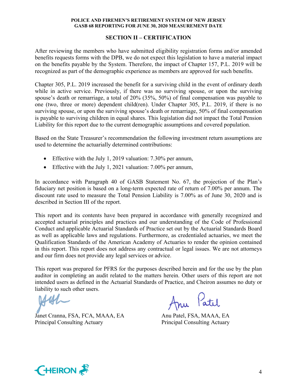## **SECTION II – CERTIFICATION**

After reviewing the members who have submitted eligibility registration forms and/or amended benefits requests forms with the DPB, we do not expect this legislation to have a material impact on the benefits payable by the System. Therefore, the impact of Chapter 157, P.L. 2019 will be recognized as part of the demographic experience as members are approved for such benefits.

Chapter 305, P.L. 2019 increased the benefit for a surviving child in the event of ordinary death while in active service. Previously, if there was no surviving spouse, or upon the surviving spouse's death or remarriage, a total of 20% (35%, 50%) of final compensation was payable to one (two, three or more) dependent child(ren). Under Chapter 305, P.L. 2019, if there is no surviving spouse, or upon the surviving spouse's death or remarriage, 50% of final compensation is payable to surviving children in equal shares. This legislation did not impact the Total Pension Liability for this report due to the current demographic assumptions and covered population.

Based on the State Treasurer's recommendation the following investment return assumptions are used to determine the actuarially determined contributions:

- Effective with the July 1, 2019 valuation: 7.30% per annum,
- Effective with the July 1, 2021 valuation: 7.00% per annum,

In accordance with Paragraph 40 of GASB Statement No. 67, the projection of the Plan's fiduciary net position is based on a long-term expected rate of return of 7.00% per annum. The discount rate used to measure the Total Pension Liability is 7.00% as of June 30, 2020 and is described in Section III of the report.

This report and its contents have been prepared in accordance with generally recognized and accepted actuarial principles and practices and our understanding of the Code of Professional Conduct and applicable Actuarial Standards of Practice set out by the Actuarial Standards Board as well as applicable laws and regulations. Furthermore, as credentialed actuaries, we meet the Qualification Standards of the American Academy of Actuaries to render the opinion contained in this report. This report does not address any contractual or legal issues. We are not attorneys and our firm does not provide any legal services or advice.

This report was prepared for PFRS for the purposes described herein and for the use by the plan auditor in completing an audit related to the matters herein. Other users of this report are not intended users as defined in the Actuarial Standards of Practice, and Cheiron assumes no duty or liability to such other users.

Janet Cranna, FSA, FCA, MAAA, EA Anu Patel, FSA, MAAA, EA Principal Consulting Actuary Principal Consulting Actuary

Anu Patil

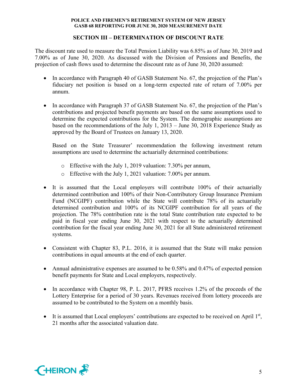## **SECTION III – DETERMINATION OF DISCOUNT RATE**

The discount rate used to measure the Total Pension Liability was 6.85% as of June 30, 2019 and 7.00% as of June 30, 2020. As discussed with the Division of Pensions and Benefits, the projection of cash flows used to determine the discount rate as of June 30, 2020 assumed:

- In accordance with Paragraph 40 of GASB Statement No. 67, the projection of the Plan's fiduciary net position is based on a long-term expected rate of return of 7.00% per annum.
- In accordance with Paragraph 37 of GASB Statement No. 67, the projection of the Plan's contributions and projected benefit payments are based on the same assumptions used to determine the expected contributions for the System. The demographic assumptions are based on the recommendations of the July 1, 2013 – June 30, 2018 Experience Study as approved by the Board of Trustees on January 13, 2020.

Based on the State Treasurer' recommendation the following investment return assumptions are used to determine the actuarially determined contributions:

- o Effective with the July 1, 2019 valuation: 7.30% per annum,
- o Effective with the July 1, 2021 valuation: 7.00% per annum.
- It is assumed that the Local employers will contribute 100% of their actuarially determined contribution and 100% of their Non-Contributory Group Insurance Premium Fund (NCGIPF) contribution while the State will contribute 78% of its actuarially determined contribution and 100% of its NCGIPF contribution for all years of the projection. The 78% contribution rate is the total State contribution rate expected to be paid in fiscal year ending June 30, 2021 with respect to the actuarially determined contribution for the fiscal year ending June 30, 2021 for all State administered retirement systems.
- Consistent with Chapter 83, P.L. 2016, it is assumed that the State will make pension contributions in equal amounts at the end of each quarter.
- Annual administrative expenses are assumed to be 0.58% and 0.47% of expected pension benefit payments for State and Local employers, respectively.
- In accordance with Chapter 98, P. L. 2017, PFRS receives 1.2% of the proceeds of the Lottery Enterprise for a period of 30 years. Revenues received from lottery proceeds are assumed to be contributed to the System on a monthly basis.
- It is assumed that Local employers' contributions are expected to be received on April  $1<sup>st</sup>$ , 21 months after the associated valuation date.

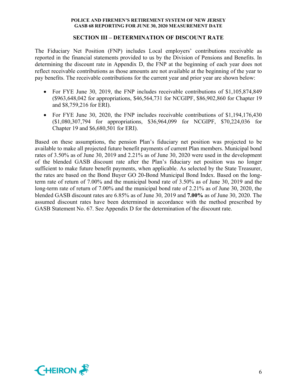## **SECTION III – DETERMINATION OF DISCOUNT RATE**

The Fiduciary Net Position (FNP) includes Local employers' contributions receivable as reported in the financial statements provided to us by the Division of Pensions and Benefits. In determining the discount rate in Appendix D, the FNP at the beginning of each year does not reflect receivable contributions as those amounts are not available at the beginning of the year to pay benefits. The receivable contributions for the current year and prior year are shown below:

- For FYE June 30, 2019, the FNP includes receivable contributions of \$1,105,874,849 (\$963,648,042 for appropriations, \$46,564,731 for NCGIPF, \$86,902,860 for Chapter 19 and \$8,759,216 for ERI).
- For FYE June 30, 2020, the FNP includes receivable contributions of \$1,194,176,430 (\$1,080,307,794 for appropriations, \$36,964,099 for NCGIPF, \$70,224,036 for Chapter 19 and \$6,680,501 for ERI).

Based on these assumptions, the pension Plan's fiduciary net position was projected to be available to make all projected future benefit payments of current Plan members. Municipal bond rates of 3.50% as of June 30, 2019 and 2.21% as of June 30, 2020 were used in the development of the blended GASB discount rate after the Plan's fiduciary net position was no longer sufficient to make future benefit payments, when applicable. As selected by the State Treasurer, the rates are based on the Bond Buyer GO 20-Bond Municipal Bond Index. Based on the longterm rate of return of 7.00% and the municipal bond rate of 3.50% as of June 30, 2019 and the long-term rate of return of 7.00% and the municipal bond rate of 2.21% as of June 30, 2020, the blended GASB discount rates are 6.85% as of June 30, 2019 and **7.00%** as of June 30, 2020. The assumed discount rates have been determined in accordance with the method prescribed by GASB Statement No. 67. See Appendix D for the determination of the discount rate.

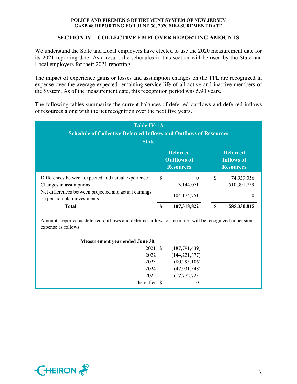## **SECTION IV – COLLECTIVE EMPLOYER REPORTING AMOUNTS**

We understand the State and Local employers have elected to use the 2020 measurement date for its 2021 reporting date. As a result, the schedules in this section will be used by the State and Local employers for their 2021 reporting.

The impact of experience gains or losses and assumption changes on the TPL are recognized in expense over the average expected remaining service life of all active and inactive members of the System. As of the measurement date, this recognition period was 5.90 years.

The following tables summarize the current balances of deferred outflows and deferred inflows of resources along with the net recognition over the next five years.

| <b>Table IV-1A</b><br><b>Schedule of Collective Deferred Inflows and Outflows of Resources</b><br><b>State</b>                                                       |   |                                                           |                           |                                                          |  |  |  |  |  |
|----------------------------------------------------------------------------------------------------------------------------------------------------------------------|---|-----------------------------------------------------------|---------------------------|----------------------------------------------------------|--|--|--|--|--|
|                                                                                                                                                                      |   | <b>Deferred</b><br><b>Outflows of</b><br><b>Resources</b> |                           | <b>Deferred</b><br><b>Inflows of</b><br><b>Resources</b> |  |  |  |  |  |
| Differences between expected and actual experience<br>Changes in assumptions<br>Net differences between projected and actual earnings<br>on pension plan investments | S | $\theta$<br>3,144,071<br>104, 174, 751                    | $\boldsymbol{\mathsf{S}}$ | 74,939,056<br>510,391,759<br>0                           |  |  |  |  |  |
| <b>Total</b>                                                                                                                                                         |   | 107,318,822                                               |                           | 585,330,815                                              |  |  |  |  |  |

Amounts reported as deferred outflows and deferred inflows of resources will be recognized in pension expense as follows:

| <b>Measurement year ended June 30:</b> |                 |
|----------------------------------------|-----------------|
| 2021 \$                                | (187,791,439)   |
| 2022                                   | (144, 221, 377) |
| 2023                                   | (80, 295, 106)  |
| 2024                                   | (47, 931, 348)  |
| 2025                                   | (17,772,723)    |
| Thereafter \$                          | $\theta$        |

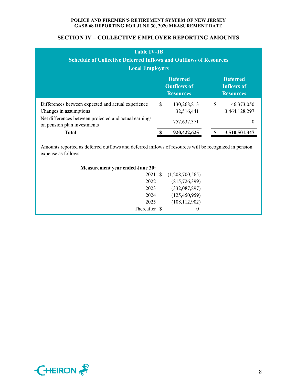## **SECTION IV – COLLECTIVE EMPLOYER REPORTING AMOUNTS**

| <b>Table IV-1B</b><br><b>Schedule of Collective Deferred Inflows and Outflows of Resources</b><br><b>Local Employers</b>                                             |               |                                                           |    |                                                          |  |  |  |  |  |
|----------------------------------------------------------------------------------------------------------------------------------------------------------------------|---------------|-----------------------------------------------------------|----|----------------------------------------------------------|--|--|--|--|--|
|                                                                                                                                                                      |               | <b>Deferred</b><br><b>Outflows of</b><br><b>Resources</b> |    | <b>Deferred</b><br><b>Inflows of</b><br><b>Resources</b> |  |  |  |  |  |
| Differences between expected and actual experience<br>Changes in assumptions<br>Net differences between projected and actual earnings<br>on pension plan investments | <sup>\$</sup> | 130,268,813<br>32,516,441<br>757,637,371                  | \$ | 46,373,050<br>3,464,128,297<br>$\theta$                  |  |  |  |  |  |
| <b>Total</b>                                                                                                                                                         |               | 920,422,625                                               |    | 3,510,501,347                                            |  |  |  |  |  |

Amounts reported as deferred outflows and deferred inflows of resources will be recognized in pension expense as follows:

| <b>Measurement year ended June 30:</b> |                 |  |
|----------------------------------------|-----------------|--|
| 2021 \$                                | (1,208,700,565) |  |
| 2022                                   | (815, 726, 399) |  |
| 2023                                   | (332,087,897)   |  |
| 2024                                   | (125, 450, 959) |  |
| 2025                                   | (108, 112, 902) |  |
| Thereafter \$                          | $\theta$        |  |

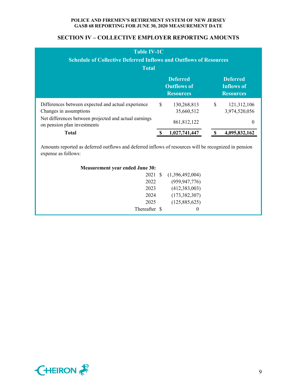## **SECTION IV – COLLECTIVE EMPLOYER REPORTING AMOUNTS**

| <b>Table IV-1C</b><br><b>Schedule of Collective Deferred Inflows and Outflows of Resources</b><br><b>Total</b>                                                       |   |                                                           |   |                                                          |  |  |  |  |  |
|----------------------------------------------------------------------------------------------------------------------------------------------------------------------|---|-----------------------------------------------------------|---|----------------------------------------------------------|--|--|--|--|--|
|                                                                                                                                                                      |   | <b>Deferred</b><br><b>Outflows of</b><br><b>Resources</b> |   | <b>Deferred</b><br><b>Inflows of</b><br><b>Resources</b> |  |  |  |  |  |
| Differences between expected and actual experience<br>Changes in assumptions<br>Net differences between projected and actual earnings<br>on pension plan investments | S | 130,268,813<br>35,660,512<br>861, 812, 122                | S | 121,312,106<br>3,974,520,056<br>$\theta$                 |  |  |  |  |  |
| <b>Total</b>                                                                                                                                                         |   | 1,027,741,447                                             |   | 4,095,832,162                                            |  |  |  |  |  |

Amounts reported as deferred outflows and deferred inflows of resources will be recognized in pension expense as follows:

| <b>Measurement year ended June 30:</b> |                 |  |
|----------------------------------------|-----------------|--|
| 2021 \$                                | (1,396,492,004) |  |
| 2022                                   | (959, 947, 776) |  |
| 2023                                   | (412,383,003)   |  |
| 2024                                   | (173, 382, 307) |  |
| 2025                                   | (125,885,625)   |  |
| Thereafter \$                          | $\theta$        |  |

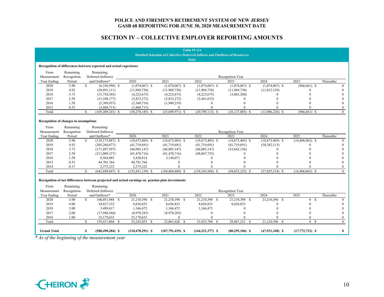## **SECTION IV – COLLECTIVE EMPLOYER REPORTING AMOUNTS**

|                                       |                          |               |                                                                   |                                                                                                  |                                                                                   | <b>Table IV-2A</b>   |                     |                     |                   |                |
|---------------------------------------|--------------------------|---------------|-------------------------------------------------------------------|--------------------------------------------------------------------------------------------------|-----------------------------------------------------------------------------------|----------------------|---------------------|---------------------|-------------------|----------------|
|                                       |                          |               |                                                                   |                                                                                                  | <b>Detailed Schedule of Collective Deferred Inflows and Outflows of Resources</b> | <b>State</b>         |                     |                     |                   |                |
|                                       |                          |               | Recognition of differences between expected and actual experience |                                                                                                  |                                                                                   |                      |                     |                     |                   |                |
| From                                  | Remaining                |               | Remaining                                                         |                                                                                                  |                                                                                   |                      |                     |                     |                   |                |
| Measurement                           | Recognition              |               | Deferred (Inflows)                                                |                                                                                                  |                                                                                   |                      | Recognition Year    |                     |                   |                |
| Year Ending                           | Period                   |               | and Outflows*                                                     | 2020                                                                                             | 2021                                                                              | 2022                 | 2023                | 2024                | 2025              | Thereafter     |
| 2020                                  | 5.90                     | $\mathcal{S}$ | $(6,336,996)$ \$                                                  | $(1,074,067)$ \$                                                                                 | $(1,074,067)$ \$                                                                  | $(1,074,067)$ \$     | $(1,074,067)$ \$    | $(1,074,067)$ \$    | $(966, 661)$ \$   | $\theta$       |
| 2019                                  | 4.92                     |               | (58,891,111)                                                      | (11,969,738)                                                                                     | (11,969,738)                                                                      | (11,969,738)         | (11,969,738)        | (11,012,159)        | $\Omega$          |                |
| 2018                                  | 3.73                     |               | (15,754,305)                                                      | (4,223,675)                                                                                      | (4,223,675)                                                                       | (4,223,675)          | (3,083,280)         |                     |                   |                |
| 2017                                  | 2.59                     |               | (15, 108, 177)                                                    | (5,833,272)                                                                                      | (5,833,272)                                                                       | (3,441,633)          | 0                   |                     |                   |                |
| 2016                                  | 1.58                     |               | (5,309,937)                                                       | (3,360,718)                                                                                      | (1,949,219)                                                                       | $\Omega$             | $\Omega$            |                     |                   |                |
| 2015                                  | 0.53                     |               | (3,808,715)                                                       | (3,808,715)                                                                                      | $\theta$                                                                          | $\Omega$             |                     |                     |                   |                |
| Total                                 |                          | \$.           | $(105, 209, 241)$ \$                                              | $(30, 270, 185)$ \$                                                                              | $(25,049,971)$ \$                                                                 | $(20, 709, 113)$ \$  | $(16, 127, 085)$ \$ | $(12,086,226)$ \$   | $(966, 661)$ \$   | $\mathbf{0}$   |
| Recognition of changes in assumptions |                          |               |                                                                   |                                                                                                  |                                                                                   |                      |                     |                     |                   |                |
| From                                  | Remaining                |               | Remaining                                                         |                                                                                                  |                                                                                   |                      |                     |                     |                   |                |
| Measurement                           | Recognition              |               | Deferred (Inflows)                                                |                                                                                                  |                                                                                   |                      | Recognition Year    |                     |                   |                |
| Year Ending                           | Period                   |               | and Outflows*                                                     | 2020                                                                                             | 2021                                                                              | 2022                 | 2023                | 2024                | 2025              | Thereafter     |
| 2020                                  | 5.90                     | $\mathbb{S}$  | $(110, 173, 087)$ \$                                              | $(18,673,405)$ \$                                                                                | $(18,673,405)$ \$                                                                 | $(18,673,405)$ \$    | $(18,673,405)$ \$   | $(18,673,405)$ \$   | $(16,806,062)$ \$ | $\overline{0}$ |
| 2019                                  | 4.92                     |               | (205, 260, 877)                                                   | (41, 719, 691)                                                                                   | (41, 719, 691)                                                                    | (41, 719, 691)       | (41,719,691)        | (38, 382, 113)      | $\Omega$          |                |
| 2018                                  | 3.73                     |               | (171, 897, 597)                                                   | (46,085,147)                                                                                     | (46,085,147)                                                                      | (46,085,147)         | (33, 642, 156)      | $\Omega$            |                   |                |
| 2017                                  | 2.59                     |               | (211,009,157)                                                     | (81, 470, 716)                                                                                   | (81, 470, 716)                                                                    | (48,067,725)         |                     |                     |                   |                |
| 2016                                  | 1.58                     |               | 8,564,885                                                         | 5,420,814                                                                                        | 3,144,071                                                                         | $\Omega$             |                     |                     |                   |                |
| 2015                                  | 0.53                     |               | 44,701,764                                                        | 44,701,764                                                                                       | $\theta$                                                                          | $\Omega$             |                     |                     |                   |                |
| 2014                                  | 0.17                     |               | 2,375,222                                                         | 2,375,222                                                                                        | $\theta$                                                                          |                      |                     |                     |                   |                |
| Total                                 |                          | $\mathcal{S}$ | $(642, 698, 847)$ \$                                              | $(135, 451, 159)$ \$                                                                             | $(184, 804, 888)$ \$                                                              | $(154, 545, 968)$ \$ | $(94.035.252)$ \$   | $(57,055,518)$ \$   | $(16,806,062)$ \$ | $\theta$       |
| From<br>Measurement                   | Remaining<br>Recognition |               | Remaining<br>Deferred (Inflows)                                   | Recognition of net differences between projected and actual earnings on pension plan investments |                                                                                   |                      | Recognition Year    |                     |                   |                |
| Year Ending                           | Period                   |               | and Outflows*                                                     | 2020                                                                                             | 2021                                                                              | 2022                 | 2023                | 2024                | 2025              | Thereafter     |
| 2020                                  | 5.00                     | $\mathcal{S}$ | 106,051,988 \$                                                    | 21,210,398 \$                                                                                    | 21,210,398 \$                                                                     | 21,210,398 \$        | 21,210,398 \$       | 21,210,396 \$       | 0 S               | $\theta$       |
| 2019                                  | 4.00                     |               | 34,627,332                                                        | 8,656,833                                                                                        | 8,656,833                                                                         | 8,656,833            | 8,656,833           |                     | $\Omega$          |                |
| 2018                                  | 3.00                     |               | 3,499,417                                                         | 1,166,472                                                                                        | 1,166,472                                                                         | 1,166,473            | $\Omega$            |                     | $\Omega$          |                |
| 2017                                  | 2.00                     |               | (17,940,566)                                                      | (8,970,283)                                                                                      | (8,970,283)                                                                       | $\theta$             | $\Omega$            |                     | $\Omega$          |                |
| 2016                                  | 1.00                     |               | 33,179,633                                                        | 33,179,633                                                                                       | $\theta$                                                                          | $\theta$             | $\Omega$            |                     | $\theta$          |                |
| Total                                 |                          | $\mathbf{s}$  | 159,417,804 \$                                                    | 55,243,053 \$                                                                                    | 22,063,420 \$                                                                     | 31,033,704 \$        | 29,867,231 \$       | 21,210,396 \$       | 0 <sup>5</sup>    | $\theta$       |
| <b>Grand Total</b>                    |                          | S             | $(588, 490, 284)$ \$                                              | $(110, 478, 291)$ \$                                                                             | $(187,791,439)$ \$                                                                | $(144, 221, 377)$ \$ | $(80, 295, 106)$ \$ | $(47, 931, 348)$ \$ | $(17,772,723)$ \$ | $\bf{0}$       |

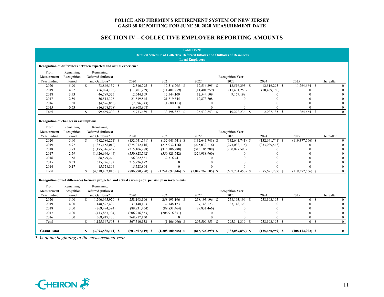## **SECTION IV – COLLECTIVE EMPLOYER REPORTING AMOUNTS**

|                     |                                       |               |                                                                   |                                                                                                  |                      | <b>Table IV-2B</b>                                                                                          |                      |                      |                      |            |
|---------------------|---------------------------------------|---------------|-------------------------------------------------------------------|--------------------------------------------------------------------------------------------------|----------------------|-------------------------------------------------------------------------------------------------------------|----------------------|----------------------|----------------------|------------|
|                     |                                       |               |                                                                   |                                                                                                  |                      | <b>Detailed Schedule of Collective Deferred Inflows and Outflows of Resources</b><br><b>Local Employers</b> |                      |                      |                      |            |
|                     |                                       |               | Recognition of differences between expected and actual experience |                                                                                                  |                      |                                                                                                             |                      |                      |                      |            |
|                     |                                       |               |                                                                   |                                                                                                  |                      |                                                                                                             |                      |                      |                      |            |
| From<br>Measurement | Remaining<br>Recognition              |               | Remaining<br>Deferred (Inflows)                                   |                                                                                                  |                      |                                                                                                             | Recognition Year     |                      |                      |            |
| Year Ending         | Period                                |               | and Outflows*                                                     | 2020                                                                                             | 2021                 | 2022                                                                                                        | 2023                 | $\overline{20}24$    | 2025                 | Thereafter |
| 2020                | 5.90                                  | $\mathcal{S}$ | 73,846,139 \$                                                     | 12,516,295 \$                                                                                    | 12,516,295 \$        | 12,516,295 \$                                                                                               | 12,516,295 \$        | 12,516,295 \$        | 11,264,664 \$        |            |
| 2019                | 4.92                                  |               | (56,094,196)                                                      | (11, 401, 259)                                                                                   | (11, 401, 259)       | (11, 401, 259)                                                                                              | (11, 401, 259)       | (10, 489, 160)       | $\Omega$             |            |
| 2018                | 3.73                                  |               | 46,789,525                                                        | 12,544,109                                                                                       | 12,544,109           | 12,544,109                                                                                                  | 9,157,198            |                      | $\Omega$             |            |
| 2017                | 2.59                                  |               | 56,513,398                                                        | 21,819,845                                                                                       | 21,819,845           | 12,873,708                                                                                                  | 0                    |                      |                      |            |
| 2016                | 1.58                                  |               | (4,576,856)                                                       | (2,896,743)                                                                                      | (1,680,113)          | $\theta$                                                                                                    |                      |                      |                      |            |
| 2015                | 0.53                                  |               | (16,808,808)                                                      | (16,808,808)                                                                                     | $\mathbf{0}$         | $\Omega$                                                                                                    |                      |                      |                      |            |
| Total               |                                       | \$.           | 99,669,202 \$                                                     | 15,773,439 \$                                                                                    | 33,798,877 \$        | 26, 532, 853 \$                                                                                             | 10,272,234<br>-S     | 2,027,135 \$         | 11,264,664 \$        |            |
|                     | Recognition of changes in assumptions |               |                                                                   |                                                                                                  |                      |                                                                                                             |                      |                      |                      |            |
| From                | Remaining                             |               | Remaining                                                         |                                                                                                  |                      |                                                                                                             |                      |                      |                      |            |
| Measurement         | Recognition                           |               | Deferred (Inflows)                                                |                                                                                                  |                      |                                                                                                             | Recognition Year     |                      |                      |            |
| Year Ending         | Period                                |               | and Outflows*                                                     | 2020                                                                                             | 2021                 | 2022                                                                                                        | 2023                 | 2024                 | 2025                 | Thereafter |
| 2020                | 5.90                                  | <sup>\$</sup> | $(782, 586, 271)$ \$                                              | $(132, 641, 741)$ \$                                                                             | $(132, 641, 741)$ \$ | $(132, 641, 741)$ \$                                                                                        | $(132, 641, 741)$ \$ | $(132, 641, 741)$ \$ | $(119,377,566)$ \$   |            |
| 2019                | 4.92                                  |               | (1,353,158,012)                                                   | (275, 032, 116)                                                                                  | (275, 032, 116)      | (275, 032, 116)                                                                                             | (275, 032, 116)      | (253,029,548)        | $\Omega$             |            |
| 2018                | 3.73                                  |               | (1, 175, 346, 457)                                                | (315, 106, 288)                                                                                  | (315, 106, 288)      | (315, 106, 288)                                                                                             | (230,027,593)        | $\Omega$             |                      |            |
| 2017                | 2.59                                  |               | (1,426,646,444)                                                   | (550, 828, 742)                                                                                  | (550, 828, 742)      | (324,988,960)                                                                                               |                      |                      |                      |            |
| 2016                | 1.58                                  |               | 88,579,272                                                        | 56,062,831                                                                                       | 32,516,441           | $\Omega$                                                                                                    |                      |                      |                      |            |
| 2015                | 0.53                                  |               | 315,226,172                                                       | 315,226,172                                                                                      | $\theta$             | $\Omega$                                                                                                    |                      |                      |                      |            |
| 2014                | 0.17                                  |               | 15,528,894                                                        | 15,528,894                                                                                       | $\theta$             |                                                                                                             |                      |                      |                      |            |
| Total               |                                       | $\mathcal{S}$ | $(4,318,402,846)$ \$                                              | $(886,790,990)$ \$                                                                               | $(1,241,092,446)$ \$ | $(1,047,769,105)$ \$                                                                                        | $(637,701,450)$ \$   | $(385,671,289)$ \$   | $(119,377,566)$ \$   |            |
| From<br>Measurement | Remaining<br>Recognition              |               | Remaining<br>Deferred (Inflows)                                   | Recognition of net differences between projected and actual earnings on pension plan investments |                      |                                                                                                             | Recognition Year     |                      |                      |            |
| Year Ending         | Period                                |               | and Outflows*                                                     | 2020                                                                                             | 2021                 | 2022                                                                                                        | 2023                 | 2024                 | 2025                 | Thereafter |
| 2020                | 5.00                                  | $\mathcal{S}$ | 1,290,965,979 \$                                                  | 258,193,196 \$                                                                                   | 258,193,196 \$       | 258,193,196 \$                                                                                              | 258,193,196 \$       | $258,193,195$ \$     | $0 \overline{S}$     |            |
| 2019                | 4.00                                  |               | 148,592,492                                                       | 37,148,123                                                                                       | 37,148,123           | 37,148,123                                                                                                  | 37,148,123           |                      | $\Omega$             |            |
| 2018                | 3.00                                  |               | (269, 494, 394)                                                   | (89, 831, 464)                                                                                   | (89, 831, 464)       | (89, 831, 466)                                                                                              | $\Omega$             | $\Omega$             | $\Omega$             |            |
| 2017                | 2.00                                  |               | (413, 833, 704)                                                   | (206,916,853)                                                                                    | (206,916,851)        | $\Omega$                                                                                                    |                      |                      | $\Omega$             |            |
| 2016                | 1.00                                  |               | 368,917,130                                                       | 368,917,130                                                                                      | $\mathbf{0}$         | $\Omega$                                                                                                    | 0                    |                      | $\theta$             |            |
| Total               |                                       | $\mathbf{s}$  | $\overline{1,125,147,503}$ \$                                     | 367,510,132 \$                                                                                   | $(1,406,996)$ \$     | 205,509,853 \$                                                                                              | 295, 341, 319 \$     | 258,193,195 \$       | 0 S                  |            |
| <b>Grand Total</b>  |                                       | S             | $(3,093,586,141)$ \$                                              | $(503, 507, 419)$ \$                                                                             | $(1,208,700,565)$ \$ | $(815, 726, 399)$ \$                                                                                        | $(332,087,897)$ \$   | $(125, 450, 959)$ \$ | $(108, 112, 902)$ \$ |            |

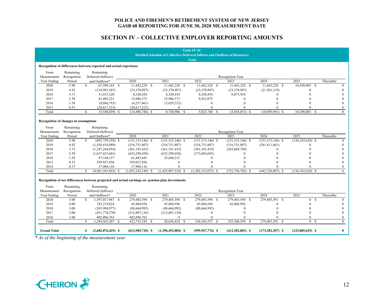## **SECTION IV – COLLECTIVE EMPLOYER REPORTING AMOUNTS**

|                                       |             |                                                                                                  |                     |                      | <b>Table IV-2C</b>                                                                |                    |                      |                      |            |
|---------------------------------------|-------------|--------------------------------------------------------------------------------------------------|---------------------|----------------------|-----------------------------------------------------------------------------------|--------------------|----------------------|----------------------|------------|
|                                       |             |                                                                                                  |                     |                      | <b>Detailed Schedule of Collective Deferred Inflows and Outflows of Resources</b> |                    |                      |                      |            |
|                                       |             |                                                                                                  |                     |                      | <b>Total</b>                                                                      |                    |                      |                      |            |
|                                       |             | Recognition of differences between expected and actual experience                                |                     |                      |                                                                                   |                    |                      |                      |            |
| From                                  | Remaining   | Remaining                                                                                        |                     |                      |                                                                                   |                    |                      |                      |            |
| Measurement                           | Recognition | Deferred (Inflows)                                                                               |                     |                      |                                                                                   | Recognition Year   |                      |                      |            |
| Year Ending                           | Period      | and Outflows*                                                                                    | 2020                | 2021                 | 2022                                                                              | 2023               | 2024                 | 2025                 | Thereafter |
| 2020                                  | 5.90        | $\mathcal{S}$<br>67,509,143 \$                                                                   | 11,442,228 \$       | 11,442,228 \$        | 11,442,228 \$                                                                     | 11,442,228 \$      | 11,442,228 \$        | 10,298,003 \$        |            |
| 2019                                  | 4.92        | (114, 985, 307)                                                                                  | (23,370,997)        | (23,370,997)         | (23,370,997)                                                                      | (23,370,997)       | (21,501,319)         | $\Omega$             |            |
| 2018                                  | 3.73        | 31,035,220                                                                                       | 8,320,434           | 8,320,434            | 8,320,434                                                                         | 6,073,918          |                      |                      |            |
| 2017                                  | 2.59        | 41,405,221                                                                                       | 15,986,573          | 15,986,573           | 9,432,075                                                                         | $\Omega$           |                      |                      |            |
| 2016                                  | 1.58        | (9,886,793)                                                                                      | (6,257,461)         | (3,629,332)          | $\Omega$                                                                          |                    |                      |                      |            |
| 2015                                  | 0.53        | (20,617,523)                                                                                     | (20,617,523)        | $\mathbf{0}$         | $\Omega$                                                                          |                    |                      |                      |            |
| Total                                 |             | \$.<br>$(5,540,039)$ \$                                                                          | $(14, 496, 746)$ \$ | 8,748,906 \$         | 5,823,740 \$                                                                      | $(5,854,851)$ \$   | $(10,059,091)$ \$    | 10,298,003 \$        |            |
| Recognition of changes in assumptions |             |                                                                                                  |                     |                      |                                                                                   |                    |                      |                      |            |
| From                                  | Remaining   | Remaining                                                                                        |                     |                      |                                                                                   |                    |                      |                      |            |
| Measurement                           | Recognition | Deferred (Inflows)                                                                               |                     |                      |                                                                                   | Recognition Year   |                      |                      |            |
| Year Ending                           | Period      | and Outflows*                                                                                    | 2020                | 2021                 | 2022                                                                              | 2023               | 2024                 | 2025                 | Thereafter |
| 2020                                  | 5.90        | $(892,759,358)$ \$<br>\$                                                                         | $(151,315,146)$ \$  | $(151,315,146)$ \$   | $(151,315,146)$ \$                                                                | $(151,315,146)$ \$ | $(151,315,146)$ \$   | $(136, 183, 628)$ \$ |            |
| 2019                                  | 4.92        | (1,558,418,889)                                                                                  | (316, 751, 807)     | (316, 751, 807)      | (316, 751, 807)                                                                   | (316, 751, 807)    | (291, 411, 661)      | $\Omega$             |            |
| 2018                                  | 3.73        | (1,347,244,054)                                                                                  | (361, 191, 435)     | (361, 191, 435)      | (361, 191, 435)                                                                   | (263, 669, 749)    | $\Omega$             |                      |            |
| 2017                                  | 2.59        | (1,637,655,601)                                                                                  | (632, 299, 458)     | (632, 299, 458)      | (373,056,685)                                                                     |                    |                      |                      |            |
| 2016                                  | 1.58        | 97,144,157                                                                                       | 61,483,645          | 35,660,512           | $\Omega$                                                                          |                    |                      |                      |            |
| 2015                                  | 0.53        | 359,927,936                                                                                      | 359,927,936         | $\mathbf{0}$         | $\Omega$                                                                          |                    |                      |                      |            |
| 2014                                  | 0.17        | 17,904,116                                                                                       | 17,904,116          | $\mathbf{0}$         |                                                                                   |                    |                      |                      |            |
| Total                                 |             | S.<br>$(4,961,101,693)$ \$                                                                       | (1,022,242,149)     | $(1,425,897,334)$ \$ | $(1,202,315,073)$ \$                                                              | $(731.736.702)$ \$ | $(442, 726, 807)$ \$ | $(136, 183, 628)$ \$ |            |
|                                       |             | Recognition of net differences between projected and actual earnings on pension plan investments |                     |                      |                                                                                   |                    |                      |                      |            |
| From                                  | Remaining   | Remaining                                                                                        |                     |                      |                                                                                   |                    |                      |                      |            |
| Measurement                           | Recognition | Deferred (Inflows)                                                                               |                     |                      |                                                                                   | Recognition Year   |                      |                      |            |
| Year Ending                           | Period      | and Outflows*                                                                                    | 2020                | 2021                 | 2022                                                                              | 2023               | 2024                 | 2025                 | Thereafter |
| 2020                                  | 5.00        | $\mathcal{S}$<br>1,397,017,967 \$                                                                | 279,403,594 \$      | 279,403,594 \$       | 279,403,594 \$                                                                    | 279,403,594 \$     | 279,403,591 \$       | 0 S                  |            |
| 2019                                  | 4.00        | 183,219,824                                                                                      | 45,804,956          | 45,804,956           | 45,804,956                                                                        | 45,804,956         |                      |                      |            |
| 2018                                  | 3.00        | (265, 994, 977)                                                                                  | (88, 664, 992)      | (88, 664, 992)       | (88, 664, 993)                                                                    | $\Omega$           |                      | $\Omega$             |            |
| 2017                                  | 2.00        | (431, 774, 270)                                                                                  | (215, 887, 136)     | (215, 887, 134)      | $\Omega$                                                                          | 0                  |                      | $\Omega$             |            |
| 2016                                  | 1.00        | 402,096,763                                                                                      | 402,096,763         | $\theta$             | $\Omega$                                                                          | 0                  |                      | $\theta$             |            |
| Total                                 |             | 1,284,565,307 \$<br>S.                                                                           | 422,753,185 \$      | 20,656,424 \$        | 236,543,557 \$                                                                    | 325,208,550 \$     | 279,403,591 \$       | 0 S                  |            |
| <b>Grand Total</b>                    |             | $(3,682,076,425)$ \$<br>S                                                                        | $(613,985,710)$ \$  | $(1,396,492,004)$ \$ | $(959, 947, 776)$ \$                                                              | $(412,383,003)$ \$ | $(173,382,307)$ \$   | $(125,885,625)$ \$   |            |

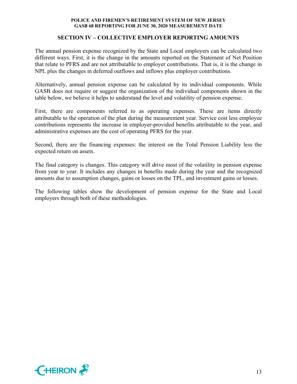## **SECTION IV – COLLECTIVE EMPLOYER REPORTING AMOUNTS**

The annual pension expense recognized by the State and Local employers can be calculated two different ways. First, it is the change in the amounts reported on the Statement of Net Position that relate to PFRS and are not attributable to employer contributions. That is, it is the change in NPL plus the changes in deferred outflows and inflows plus employer contributions.

Alternatively, annual pension expense can be calculated by its individual components. While GASB does not require or suggest the organization of the individual components shown in the table below, we believe it helps to understand the level and volatility of pension expense.

First, there are components referred to as operating expenses. These are items directly attributable to the operation of the plan during the measurement year. Service cost less employee contributions represents the increase in employer-provided benefits attributable to the year, and administrative expenses are the cost of operating PFRS for the year.

Second, there are the financing expenses: the interest on the Total Pension Liability less the expected return on assets.

The final category is changes. This category will drive most of the volatility in pension expense from year to year. It includes any changes in benefits made during the year and the recognized amounts due to assumption changes, gains or losses on the TPL, and investment gains or losses.

The following tables show the development of pension expense for the State and Local employers through both of these methodologies.

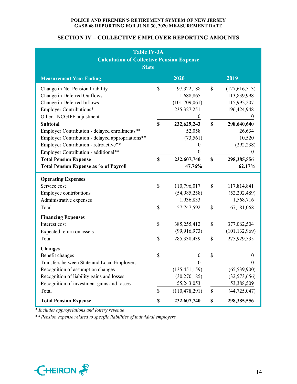## **SECTION IV – COLLECTIVE EMPLOYER REPORTING AMOUNTS**

| <b>Table IV-3A</b><br><b>Calculation of Collective Pension Expense</b><br><b>State</b>                                                                                                                                                                                                                                |                                            |                                                                                                                                         |          |                                                                                                                           |  |  |  |  |  |  |  |
|-----------------------------------------------------------------------------------------------------------------------------------------------------------------------------------------------------------------------------------------------------------------------------------------------------------------------|--------------------------------------------|-----------------------------------------------------------------------------------------------------------------------------------------|----------|---------------------------------------------------------------------------------------------------------------------------|--|--|--|--|--|--|--|
| 2020<br>2019<br><b>Measurement Year Ending</b>                                                                                                                                                                                                                                                                        |                                            |                                                                                                                                         |          |                                                                                                                           |  |  |  |  |  |  |  |
| Change in Net Pension Liability<br>Change in Deferred Outflows<br>Change in Deferred Inflows<br>Employer Contributions*<br>Other - NCGIPF adjustment<br><b>Subtotal</b><br>Employer Contribution - delayed enrollments**<br>Employer Contribution - delayed appropriations**<br>Employer Contribution - retroactive** | \$<br>$\mathbf S$                          | 97,322,188<br>1,688,865<br>(101, 709, 061)<br>235, 327, 251<br>$\overline{0}$<br>232,629,243<br>52,058<br>(73, 561)<br>$\boldsymbol{0}$ | \$<br>\$ | (127, 616, 513)<br>113,839,998<br>115,992,207<br>196,424,948<br>$\theta$<br>298,640,640<br>26,634<br>10,520<br>(292, 238) |  |  |  |  |  |  |  |
| Employer Contribution - additional**<br><b>Total Pension Expense</b><br><b>Total Pension Expense as % of Payroll</b>                                                                                                                                                                                                  | $\boldsymbol{\mathsf{S}}$                  | $\boldsymbol{0}$<br>232,607,740<br>47.76%                                                                                               | \$       | $\boldsymbol{0}$<br>298,385,556<br>62.17%                                                                                 |  |  |  |  |  |  |  |
| <b>Operating Expenses</b><br>Service cost<br><b>Employee contributions</b><br>Administrative expenses<br>Total                                                                                                                                                                                                        | $\boldsymbol{\mathsf{S}}$<br>$\mathcal{S}$ | 110,796,017<br>(54,985,258)<br>1,936,833<br>57,747,592                                                                                  | \$<br>\$ | 117,814,841<br>(52,202,489)<br>1,568,716<br>67,181,068                                                                    |  |  |  |  |  |  |  |
| <b>Financing Expenses</b><br>Interest cost<br>Expected return on assets<br>Total                                                                                                                                                                                                                                      | $\mathcal{S}$<br>\$                        | 385,255,412<br>(99, 916, 973)<br>285,338,439                                                                                            | \$<br>\$ | 377,062,504<br>(101, 132, 969)<br>275,929,535                                                                             |  |  |  |  |  |  |  |
| <b>Changes</b><br>Benefit changes<br>Transfers between State and Local Employers<br>Recognition of assumption changes<br>Recognition of liability gains and losses<br>Recognition of investment gains and losses<br>Total                                                                                             | \$<br>\$                                   | $\overline{0}$<br>$\theta$<br>(135, 451, 159)<br>(30, 270, 185)<br>55,243,053<br>(110, 478, 291)                                        | \$<br>\$ | $\boldsymbol{0}$<br>$\Omega$<br>(65, 539, 900)<br>(32,573,656)<br>53,388,509<br>(44, 725, 047)                            |  |  |  |  |  |  |  |
| <b>Total Pension Expense</b>                                                                                                                                                                                                                                                                                          | \$                                         | 232,607,740                                                                                                                             | \$       | 298,385,556                                                                                                               |  |  |  |  |  |  |  |

*\* Includes appropriations and lottery revenue* 

*\*\* Pension expense related to specific liabilities of individual employers* 

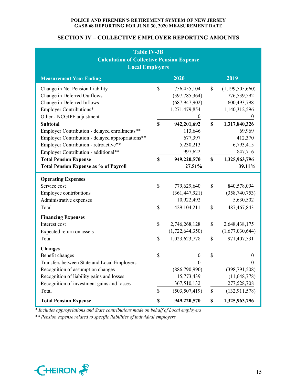## **SECTION IV – COLLECTIVE EMPLOYER REPORTING AMOUNTS**

| <b>Table IV-3B</b><br><b>Calculation of Collective Pension Expense</b><br><b>Local Employers</b>                                                                                                                                                                             |                                 |                                                                                                                             |                    |                                                                                                                  |
|------------------------------------------------------------------------------------------------------------------------------------------------------------------------------------------------------------------------------------------------------------------------------|---------------------------------|-----------------------------------------------------------------------------------------------------------------------------|--------------------|------------------------------------------------------------------------------------------------------------------|
| <b>Measurement Year Ending</b>                                                                                                                                                                                                                                               |                                 | 2020                                                                                                                        |                    | 2019                                                                                                             |
| Change in Net Pension Liability<br>Change in Deferred Outflows<br>Change in Deferred Inflows<br>Employer Contributions*<br>Other - NCGIPF adjustment<br><b>Subtotal</b><br>Employer Contribution - delayed enrollments**<br>Employer Contribution - delayed appropriations** | $\mathcal{S}$<br>\$             | 756,455,104<br>(397, 785, 364)<br>(687, 947, 902)<br>1,271,479,854<br>$\boldsymbol{0}$<br>942,201,692<br>113,646<br>677,397 | \$<br>$\mathbf S$  | (1,199,505,660)<br>776,539,592<br>600,493,798<br>1,140,312,596<br>$\theta$<br>1,317,840,326<br>69,969<br>412,370 |
| Employer Contribution - retroactive**<br>Employer Contribution - additional**<br><b>Total Pension Expense</b><br><b>Total Pension Expense as % of Payroll</b>                                                                                                                | $\mathbf S$                     | 5,230,213<br>997,622<br>949,220,570<br>27.51%                                                                               | \$                 | 6,793,415<br>847,716<br>1,325,963,796<br>39.11%                                                                  |
| <b>Operating Expenses</b><br>Service cost<br><b>Employee contributions</b><br>Administrative expenses<br>Total                                                                                                                                                               | $\boldsymbol{\mathsf{S}}$<br>\$ | 779,629,640<br>(361, 447, 921)<br>10,922,492<br>429,104,211                                                                 | $\$$<br>\$         | 840,578,094<br>(358,740,753)<br>5,630,502<br>487, 467, 843                                                       |
| <b>Financing Expenses</b><br>Interest cost<br>Expected return on assets<br>Total                                                                                                                                                                                             | \$<br>$\mathsf{\$}$             | 2,746,268,128<br>(1,722,644,350)<br>1,023,623,778                                                                           | \$<br>$\mathbb{S}$ | 2,648,438,175<br>(1,677,030,644)<br>971,407,531                                                                  |
| <b>Changes</b><br>Benefit changes<br>Transfers between State and Local Employers<br>Recognition of assumption changes<br>Recognition of liability gains and losses<br>Recognition of investment gains and losses<br>Total                                                    | \$<br>$\mathbb{S}$              | $\boldsymbol{0}$<br>$\mathbf{0}$<br>(886,790,990)<br>15,773,439<br>367,510,132<br>(503, 507, 419)                           | \$<br>$\$$         | $\boldsymbol{0}$<br>$\boldsymbol{0}$<br>(398, 791, 508)<br>(11, 648, 778)<br>277,528,708<br>(132, 911, 578)      |
| <b>Total Pension Expense</b>                                                                                                                                                                                                                                                 | \$                              | 949,220,570                                                                                                                 | \$                 | 1,325,963,796                                                                                                    |

*\* Includes appropriations and State contributions made on behalf of Local employers* 

*\*\* Pension expense related to specific liabilities of individual employers* 

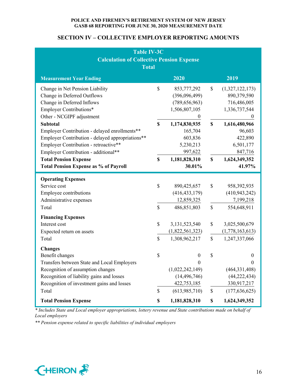## **SECTION IV – COLLECTIVE EMPLOYER REPORTING AMOUNTS**

| <b>Table IV-3C</b><br><b>Calculation of Collective Pension Expense</b><br><b>Total</b>                                                                                                                                                                                                                                                                                                                                                        |                                                |                                                                                                                                                                                |                         |                                                                                                                                                                     |
|-----------------------------------------------------------------------------------------------------------------------------------------------------------------------------------------------------------------------------------------------------------------------------------------------------------------------------------------------------------------------------------------------------------------------------------------------|------------------------------------------------|--------------------------------------------------------------------------------------------------------------------------------------------------------------------------------|-------------------------|---------------------------------------------------------------------------------------------------------------------------------------------------------------------|
| <b>Measurement Year Ending</b>                                                                                                                                                                                                                                                                                                                                                                                                                |                                                | 2020                                                                                                                                                                           |                         | 2019                                                                                                                                                                |
| Change in Net Pension Liability<br>Change in Deferred Outflows<br>Change in Deferred Inflows<br>Employer Contributions*<br>Other - NCGIPF adjustment<br><b>Subtotal</b><br>Employer Contribution - delayed enrollments**<br>Employer Contribution - delayed appropriations**<br>Employer Contribution - retroactive**<br>Employer Contribution - additional**<br><b>Total Pension Expense</b><br><b>Total Pension Expense as % of Payroll</b> | \$<br>$\mathbf S$<br>$\boldsymbol{\mathsf{S}}$ | 853,777,292<br>(396,096,499)<br>(789, 656, 963)<br>1,506,807,105<br>$\boldsymbol{0}$<br>1,174,830,935<br>165,704<br>603,836<br>5,230,213<br>997,622<br>1,181,828,310<br>30.01% | \$<br>$\mathbf S$<br>\$ | (1,327,122,173)<br>890,379,590<br>716,486,005<br>1,336,737,544<br>$\bf{0}$<br>1,616,480,966<br>96,603<br>422,890<br>6,501,177<br>847,716<br>1,624,349,352<br>41.97% |
| <b>Operating Expenses</b><br>Service cost<br><b>Employee contributions</b>                                                                                                                                                                                                                                                                                                                                                                    | $\boldsymbol{\mathsf{S}}$                      | 890,425,657<br>(416, 433, 179)                                                                                                                                                 | \$                      | 958,392,935<br>(410, 943, 242)                                                                                                                                      |
| Administrative expenses<br>Total                                                                                                                                                                                                                                                                                                                                                                                                              | \$                                             | 12,859,325<br>486,851,803                                                                                                                                                      | $\$$                    | 7,199,218<br>554,648,911                                                                                                                                            |
| <b>Financing Expenses</b><br>Interest cost<br>Expected return on assets<br>Total                                                                                                                                                                                                                                                                                                                                                              | \$<br>$\mathbb{S}$                             | 3,131,523,540<br>(1,822,561,323)<br>1,308,962,217                                                                                                                              | \$<br>$\mathbb{S}$      | 3,025,500,679<br>(1,778,163,613)<br>1,247,337,066                                                                                                                   |
| <b>Changes</b><br>Benefit changes<br>Transfers between State and Local Employers<br>Recognition of assumption changes<br>Recognition of liability gains and losses<br>Recognition of investment gains and losses<br>Total                                                                                                                                                                                                                     | \$<br>\$                                       | $\mathbf{0}$<br>$\theta$<br>(1,022,242,149)<br>(14, 496, 746)<br>422,753,185<br>(613,985,710)                                                                                  | \$<br>$\$$              | $\boldsymbol{0}$<br>$\Omega$<br>(464, 331, 408)<br>(44, 222, 434)<br>330,917,217<br>(177, 636, 625)                                                                 |
| <b>Total Pension Expense</b>                                                                                                                                                                                                                                                                                                                                                                                                                  | \$                                             | 1,181,828,310                                                                                                                                                                  | \$                      | 1,624,349,352                                                                                                                                                       |

*\* Includes State and Local employer appropriations, lottery revenue and State contributions made on behalf of Local employers* 

*\*\* Pension expense related to specific liabilities of individual employers* 

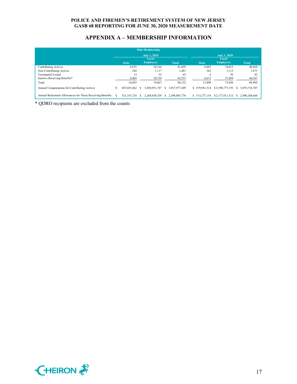## **APPENDIX A – MEMBERSHIP INFORMATION**

| <b>Plan Membership</b>                                    |    |              |  |                     |    |               |                |                     |   |               |
|-----------------------------------------------------------|----|--------------|--|---------------------|----|---------------|----------------|---------------------|---|---------------|
|                                                           |    |              |  | <b>July 1, 2019</b> |    |               |                | <b>July 1, 2018</b> |   |               |
|                                                           |    |              |  | Local               |    |               | Local          |                     |   |               |
|                                                           |    | <b>State</b> |  | <b>Employers</b>    |    | <b>Total</b>  | <b>State</b>   | <b>Employers</b>    |   | <b>Total</b>  |
| <b>Contributing Actives</b>                               |    | 6,875        |  | 34,164              |    | 41,039        | 6,807          | 34,013              |   | 40,820        |
| Non-Contributing Actives                                  |    | 364          |  | 1,117               |    | 1,481         | 362            | 1,113               |   | 1,475         |
| <b>Terminated Vested</b>                                  |    | 13           |  | 52                  |    | 65            | 6              | 36                  |   | 42            |
| Inactive Receiving Benefits*                              |    | 6,803        |  | 38,734              |    | 45,537        | 6,673          | 37,894              |   | 44,567        |
| Total                                                     |    | 14,055       |  | 74,067              |    | 88,122        | 13.848         | 73,056              |   | 86,904        |
| Annual Compensation for Contributing Actives              | ь  | 487,025,462  |  | 3,450,951,747       | S. | 3.937.977.209 | \$479,941,514  | \$3,390,777,193     | S | 3,870,718,707 |
| Annual Retirement Allowances for Those Receiving Benefits | -S | 321,147,218  |  | 2.269.658.558       | S. | 2.590,805,776 | \$ 313,277,156 | \$2,177,011,512     | S | 2.490.288.668 |

\* QDRO recipients are excluded from the counts

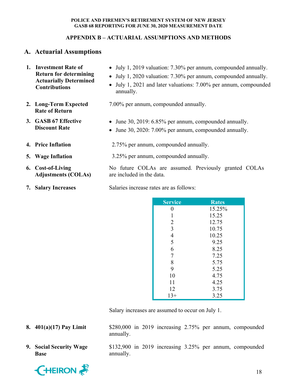## **APPENDIX B – ACTUARIAL ASSUMPTIONS AND METHODS**

## **A. Actuarial Assumptions**

| 1. Investment Rate of<br><b>Return for determining</b><br><b>Actuarially Determined</b><br><b>Contributions</b> | • July 1, 2019 valuation: 7.30% per annum, compounded annually.<br>• July 1, 2020 valuation: 7.30% per annum, compounded annually.<br>• July 1, 2021 and later valuations: 7.00% per annum, compounded<br>annually. |
|-----------------------------------------------------------------------------------------------------------------|---------------------------------------------------------------------------------------------------------------------------------------------------------------------------------------------------------------------|
| 2. Long-Term Expected<br><b>Rate of Return</b>                                                                  | 7.00% per annum, compounded annually.                                                                                                                                                                               |
| 3. GASB 67 Effective<br><b>Discount Rate</b>                                                                    | • June 30, 2019: 6.85% per annum, compounded annually.<br>• June 30, 2020: 7.00% per annum, compounded annually.                                                                                                    |
| 4. Price Inflation                                                                                              | 2.75% per annum, compounded annually.                                                                                                                                                                               |
| 5. Wage Inflation                                                                                               | 3.25% per annum, compounded annually.                                                                                                                                                                               |
| 6. Cost-of-Living<br><b>Adjustments (COLAs)</b>                                                                 | No future COLAs are assumed. Previously granted COLAs<br>are included in the data.                                                                                                                                  |

**7.** Salary Increases Salaries increase rates are as follows:

| <b>Service</b> | <b>Rates</b> |
|----------------|--------------|
| 0              | 15.25%       |
| 1              | 15.25        |
| $\overline{2}$ | 12.75        |
| 3              | 10.75        |
| $\overline{4}$ | 10.25        |
| 5              | 9.25         |
| 6              | 8.25         |
| 7              | 7.25         |
| 8              | 5.75         |
| 9              | 5.25         |
| 10             | 4.75         |
| 11             | 4.25         |
| 12             | 3.75         |
| $13+$          | 3.25         |

Salary increases are assumed to occur on July 1.

- **8. 401(a)(17) Pay Limit** \$280,000 in 2019 increasing 2.75% per annum, compounded annually.
- **9. Social Security Wage Base**

**CHEIRON** 

\$132,900 in 2019 increasing 3.25% per annum, compounded annually.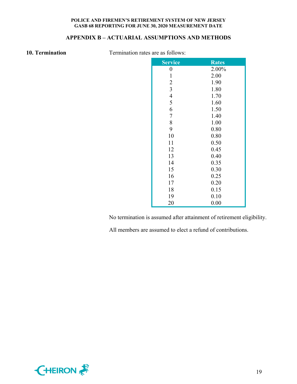## **APPENDIX B – ACTUARIAL ASSUMPTIONS AND METHODS**

**10. Termination Termination rates are as follows:** 

| <b>Service</b>          | <b>Rates</b> |
|-------------------------|--------------|
| $\boldsymbol{0}$        | 2.00%        |
| $\mathbf{1}$            | 2.00         |
| $\overline{c}$          | 1.90         |
| $\overline{\mathbf{3}}$ | 1.80         |
| $\overline{4}$          | 1.70         |
| 5                       | 1.60         |
| 6                       | 1.50         |
| $\overline{7}$          | 1.40         |
| 8                       | 1.00         |
| 9                       | 0.80         |
| 10                      | 0.80         |
| 11                      | 0.50         |
| 12                      | 0.45         |
| 13                      | 0.40         |
| 14                      | 0.35         |
| 15                      | 0.30         |
| 16                      | 0.25         |
| 17                      | 0.20         |
| 18                      | 0.15         |
| 19                      | 0.10         |
| 20                      | 0.00         |

No termination is assumed after attainment of retirement eligibility.

All members are assumed to elect a refund of contributions.

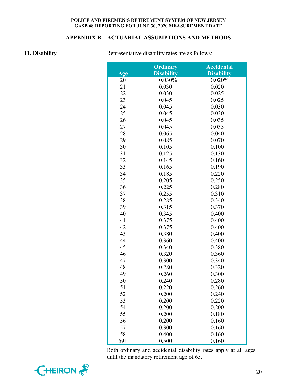## **APPENDIX B – ACTUARIAL ASSUMPTIONS AND METHODS**

**11. Disability Representative disability rates are as follows:** 

|       | <b>Ordinary</b>   | <b>Accidental</b> |
|-------|-------------------|-------------------|
| Age   | <b>Disability</b> | <b>Disability</b> |
| 20    | 0.030%            | 0.020%            |
| 21    | 0.030             | 0.020             |
| 22    | 0.030             | 0.025             |
| 23    | 0.045             | 0.025             |
| 24    | 0.045             | 0.030             |
| 25    | 0.045             | 0.030             |
| 26    | 0.045             | 0.035             |
| 27    | 0.045             | 0.035             |
| 28    | 0.065             | 0.040             |
| 29    | 0.085             | 0.070             |
| 30    | 0.105             | 0.100             |
| 31    | 0.125             | 0.130             |
| 32    | 0.145             | 0.160             |
| 33    | 0.165             | 0.190             |
| 34    | 0.185             | 0.220             |
| 35    | 0.205             | 0.250             |
| 36    | 0.225             | 0.280             |
| 37    | 0.255             | 0.310             |
| 38    | 0.285             | 0.340             |
| 39    | 0.315             | 0.370             |
| 40    | 0.345             | 0.400             |
| 41    | 0.375             | 0.400             |
| 42    | 0.375             | 0.400             |
| 43    | 0.380             | 0.400             |
| 44    | 0.360             | 0.400             |
| 45    | 0.340             | 0.380             |
| 46    | 0.320             | 0.360             |
| 47    | 0.300             | 0.340             |
| 48    | 0.280             | 0.320             |
| 49    | 0.260             | 0.300             |
| 50    | 0.240             | 0.280             |
| 51    | 0.220             | 0.260             |
| 52    | 0.200             | 0.240             |
| 53    | 0.200             | 0.220             |
| 54    | 0.200             | 0.200             |
| 55    | 0.200             | 0.180             |
| 56    | 0.200             | 0.160             |
| 57    | 0.300             | 0.160             |
| 58    | 0.400             | 0.160             |
| $59+$ | 0.500             | 0.160             |

Both ordinary and accidental disability rates apply at all ages until the mandatory retirement age of 65.

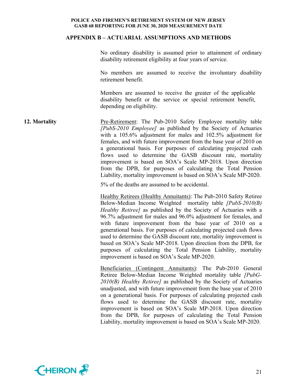#### **APPENDIX B – ACTUARIAL ASSUMPTIONS AND METHODS**

No ordinary disability is assumed prior to attainment of ordinary disability retirement eligibility at four years of service.

No members are assumed to receive the involuntary disability retirement benefit.

Members are assumed to receive the greater of the applicable disability benefit or the service or special retirement benefit, depending on eligibility.

**12. Mortality Pre-Retirement:** The Pub-2010 Safety Employee mortality table *[PubS-2010 Employee]* as published by the Society of Actuaries with a 105.6% adjustment for males and 102.5% adjustment for females, and with future improvement from the base year of 2010 on a generational basis. For purposes of calculating projected cash flows used to determine the GASB discount rate, mortality improvement is based on SOA's Scale MP-2018. Upon direction from the DPB, for purposes of calculating the Total Pension Liability, mortality improvement is based on SOA's Scale MP-2020.

5% of the deaths are assumed to be accidental.

Healthy Retirees (Healthy Annuitants): The Pub-2010 Safety Retiree Below-Median Income Weighted mortality table *[PubS-2010(B) Healthy Retiree]* as published by the Society of Actuaries with a 96.7% adjustment for males and 96.0% adjustment for females, and with future improvement from the base year of 2010 on a generational basis. For purposes of calculating projected cash flows used to determine the GASB discount rate, mortality improvement is based on SOA's Scale MP-2018. Upon direction from the DPB, for purposes of calculating the Total Pension Liability, mortality improvement is based on SOA's Scale MP-2020.

Beneficiaries (Contingent Annuitants): The Pub-2010 General Retiree Below-Median Income Weighted mortality table *[PubG-2010(B) Healthy Retiree]* as published by the Society of Actuaries unadjusted, and with future improvement from the base year of 2010 on a generational basis. For purposes of calculating projected cash flows used to determine the GASB discount rate, mortality improvement is based on SOA's Scale MP-2018. Upon direction from the DPB, for purposes of calculating the Total Pension Liability, mortality improvement is based on SOA's Scale MP-2020.

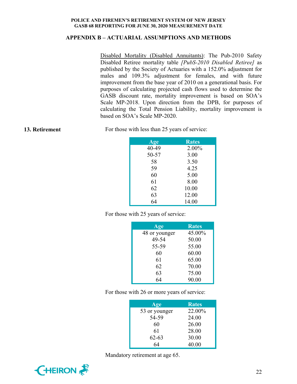## **APPENDIX B – ACTUARIAL ASSUMPTIONS AND METHODS**

Disabled Mortality (Disabled Annuitants): The Pub-2010 Safety Disabled Retiree mortality table *[PubS-2010 Disabled Retiree]* as published by the Society of Actuaries with a 152.0% adjustment for males and 109.3% adjustment for females, and with future improvement from the base year of 2010 on a generational basis. For purposes of calculating projected cash flows used to determine the GASB discount rate, mortality improvement is based on SOA's Scale MP-2018. Upon direction from the DPB, for purposes of calculating the Total Pension Liability, mortality improvement is based on SOA's Scale MP-2020.

**13. Retirement** For those with less than 25 years of service:

| <b>Age</b> | <b>Rates</b> |
|------------|--------------|
| 40-49      | 2.00%        |
| 50-57      | 3.00         |
| 58         | 3.50         |
| 59         | 4.25         |
| 60         | 5.00         |
| 61         | 8.00         |
| 62         | 10.00        |
| 63         | 12.00        |
| 64         | 14.00        |

For those with 25 years of service:

| Age           | <b>Rates</b> |
|---------------|--------------|
| 48 or younger | 45.00%       |
| 49-54         | 50.00        |
| 55-59         | 55.00        |
| 60            | 60.00        |
| 61            | 65.00        |
| 62            | 70.00        |
| 63            | 75.00        |
|               | 90.00        |

For those with 26 or more years of service:

| Age           | <b>Rates</b> |
|---------------|--------------|
| 53 or younger | 22.00%       |
| 54-59         | 24.00        |
| 60            | 26.00        |
| 61            | 28.00        |
| $62 - 63$     | 30.00        |
| 64            | 40.00        |

Mandatory retirement at age 65.

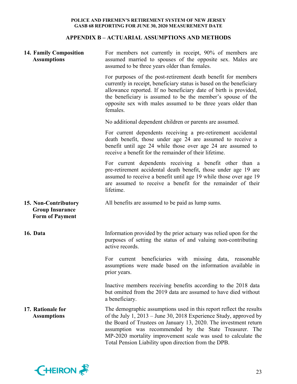## **APPENDIX B – ACTUARIAL ASSUMPTIONS AND METHODS**

| 14. Family Composition<br><b>Assumptions</b>                             | For members not currently in receipt, 90% of members are<br>assumed married to spouses of the opposite sex. Males are<br>assumed to be three years older than females.                                                                                                                                                                                                                          |
|--------------------------------------------------------------------------|-------------------------------------------------------------------------------------------------------------------------------------------------------------------------------------------------------------------------------------------------------------------------------------------------------------------------------------------------------------------------------------------------|
|                                                                          | For purposes of the post-retirement death benefit for members<br>currently in receipt, beneficiary status is based on the beneficiary<br>allowance reported. If no beneficiary date of birth is provided,<br>the beneficiary is assumed to be the member's spouse of the<br>opposite sex with males assumed to be three years older than<br>females.                                            |
|                                                                          | No additional dependent children or parents are assumed.                                                                                                                                                                                                                                                                                                                                        |
|                                                                          | For current dependents receiving a pre-retirement accidental<br>death benefit, those under age 24 are assumed to receive a<br>benefit until age 24 while those over age 24 are assumed to<br>receive a benefit for the remainder of their lifetime.                                                                                                                                             |
|                                                                          | For current dependents receiving a benefit other than a<br>pre-retirement accidental death benefit, those under age 19 are<br>assumed to receive a benefit until age 19 while those over age 19<br>are assumed to receive a benefit for the remainder of their<br>lifetime.                                                                                                                     |
| 15. Non-Contributory<br><b>Group Insurance</b><br><b>Form of Payment</b> | All benefits are assumed to be paid as lump sums.                                                                                                                                                                                                                                                                                                                                               |
| 16. Data                                                                 | Information provided by the prior actuary was relied upon for the<br>purposes of setting the status of and valuing non-contributing<br>active records.                                                                                                                                                                                                                                          |
|                                                                          | current beneficiaries with missing data, reasonable<br>For<br>assumptions were made based on the information available in<br>prior years.                                                                                                                                                                                                                                                       |
|                                                                          | Inactive members receiving benefits according to the 2018 data<br>but omitted from the 2019 data are assumed to have died without<br>a beneficiary.                                                                                                                                                                                                                                             |
| 17. Rationale for<br><b>Assumptions</b>                                  | The demographic assumptions used in this report reflect the results<br>of the July 1, 2013 – June 30, 2018 Experience Study, approved by<br>the Board of Trustees on January 13, 2020. The investment return<br>assumption was recommended by the State Treasurer. The<br>MP-2020 mortality improvement scale was used to calculate the<br>Total Pension Liability upon direction from the DPB. |

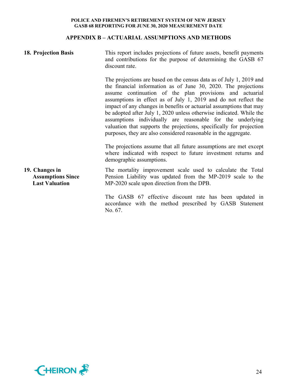## **APPENDIX B – ACTUARIAL ASSUMPTIONS AND METHODS**

| 18. Projection Basis                                                | This report includes projections of future assets, benefit payments<br>and contributions for the purpose of determining the GASB 67<br>discount rate.                                                                                                                                                                                                                                                                                                                                                                                                                                                                       |
|---------------------------------------------------------------------|-----------------------------------------------------------------------------------------------------------------------------------------------------------------------------------------------------------------------------------------------------------------------------------------------------------------------------------------------------------------------------------------------------------------------------------------------------------------------------------------------------------------------------------------------------------------------------------------------------------------------------|
|                                                                     | The projections are based on the census data as of July 1, 2019 and<br>the financial information as of June 30, 2020. The projections<br>assume continuation of the plan provisions and actuarial<br>assumptions in effect as of July 1, 2019 and do not reflect the<br>impact of any changes in benefits or actuarial assumptions that may<br>be adopted after July 1, 2020 unless otherwise indicated. While the<br>assumptions individually are reasonable for the underlying<br>valuation that supports the projections, specifically for projection<br>purposes, they are also considered reasonable in the aggregate. |
|                                                                     | The projections assume that all future assumptions are met except<br>where indicated with respect to future investment returns and<br>demographic assumptions.                                                                                                                                                                                                                                                                                                                                                                                                                                                              |
| 19. Changes in<br><b>Assumptions Since</b><br><b>Last Valuation</b> | The mortality improvement scale used to calculate the Total<br>Pension Liability was updated from the MP-2019 scale to the<br>MP-2020 scale upon direction from the DPB.                                                                                                                                                                                                                                                                                                                                                                                                                                                    |
|                                                                     | The GASB 67 effective discount rate has been updated in<br>accordance with the method prescribed by GASB Statement                                                                                                                                                                                                                                                                                                                                                                                                                                                                                                          |

accordance with the method prescribed by GASB Statement No. 67.

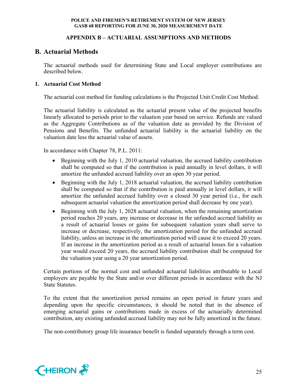## **APPENDIX B – ACTUARIAL ASSUMPTIONS AND METHODS**

## **B. Actuarial Methods**

The actuarial methods used for determining State and Local employer contributions are described below.

## **1. Actuarial Cost Method**

The actuarial cost method for funding calculations is the Projected Unit Credit Cost Method.

The actuarial liability is calculated as the actuarial present value of the projected benefits linearly allocated to periods prior to the valuation year based on service. Refunds are valued as the Aggregate Contributions as of the valuation date as provided by the Division of Pensions and Benefits. The unfunded actuarial liability is the actuarial liability on the valuation date less the actuarial value of assets.

In accordance with Chapter 78, P.L. 2011:

- Beginning with the July 1, 2010 actuarial valuation, the accrued liability contribution shall be computed so that if the contribution is paid annually in level dollars, it will amortize the unfunded accrued liability over an open 30 year period.
- Beginning with the July 1, 2018 actuarial valuation, the accrued liability contribution shall be computed so that if the contribution is paid annually in level dollars, it will amortize the unfunded accrued liability over a closed 30 year period (i.e., for each subsequent actuarial valuation the amortization period shall decrease by one year).
- Beginning with the July 1, 2028 actuarial valuation, when the remaining amortization period reaches 20 years, any increase or decrease in the unfunded accrued liability as a result of actuarial losses or gains for subsequent valuation years shall serve to increase or decrease, respectively, the amortization period for the unfunded accrued liability, unless an increase in the amortization period will cause it to exceed 20 years. If an increase in the amortization period as a result of actuarial losses for a valuation year would exceed 20 years, the accrued liability contribution shall be computed for the valuation year using a 20 year amortization period.

Certain portions of the normal cost and unfunded actuarial liabilities attributable to Local employers are payable by the State and/or over different periods in accordance with the NJ State Statutes.

To the extent that the amortization period remains an open period in future years and depending upon the specific circumstances, it should be noted that in the absence of emerging actuarial gains or contributions made in excess of the actuarially determined contribution, any existing unfunded accrued liability may not be fully amortized in the future.

The non-contributory group life insurance benefit is funded separately through a term cost.

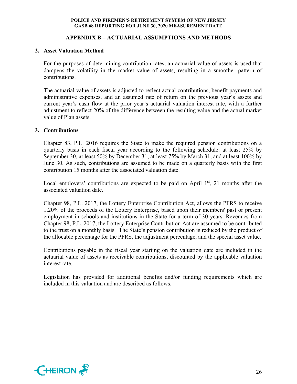## **APPENDIX B – ACTUARIAL ASSUMPTIONS AND METHODS**

## **2. Asset Valuation Method**

For the purposes of determining contribution rates, an actuarial value of assets is used that dampens the volatility in the market value of assets, resulting in a smoother pattern of contributions.

The actuarial value of assets is adjusted to reflect actual contributions, benefit payments and administrative expenses, and an assumed rate of return on the previous year's assets and current year's cash flow at the prior year's actuarial valuation interest rate, with a further adjustment to reflect 20% of the difference between the resulting value and the actual market value of Plan assets.

## **3. Contributions**

Chapter 83, P.L. 2016 requires the State to make the required pension contributions on a quarterly basis in each fiscal year according to the following schedule: at least 25% by September 30, at least 50% by December 31, at least 75% by March 31, and at least 100% by June 30. As such, contributions are assumed to be made on a quarterly basis with the first contribution 15 months after the associated valuation date.

Local employers' contributions are expected to be paid on April  $1<sup>st</sup>$ , 21 months after the associated valuation date.

Chapter 98, P.L. 2017, the Lottery Enterprise Contribution Act, allows the PFRS to receive 1.20% of the proceeds of the Lottery Enterprise, based upon their members' past or present employment in schools and institutions in the State for a term of 30 years. Revenues from Chapter 98, P.L. 2017, the Lottery Enterprise Contribution Act are assumed to be contributed to the trust on a monthly basis. The State's pension contribution is reduced by the product of the allocable percentage for the PFRS, the adjustment percentage, and the special asset value.

Contributions payable in the fiscal year starting on the valuation date are included in the actuarial value of assets as receivable contributions, discounted by the applicable valuation interest rate.

Legislation has provided for additional benefits and/or funding requirements which are included in this valuation and are described as follows.

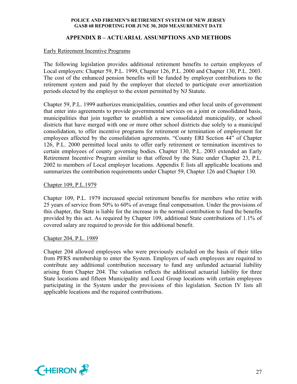## **APPENDIX B – ACTUARIAL ASSUMPTIONS AND METHODS**

## Early Retirement Incentive Programs

The following legislation provides additional retirement benefits to certain employees of Local employers: Chapter 59, P.L. 1999, Chapter 126, P.L. 2000 and Chapter 130, P.L. 2003. The cost of the enhanced pension benefits will be funded by employer contributions to the retirement system and paid by the employer that elected to participate over amortization periods elected by the employer to the extent permitted by NJ Statute.

Chapter 59, P.L. 1999 authorizes municipalities, counties and other local units of government that enter into agreements to provide governmental services on a joint or consolidated basis, municipalities that join together to establish a new consolidated municipality, or school districts that have merged with one or more other school districts due solely to a municipal consolidation, to offer incentive programs for retirement or termination of employment for employees affected by the consolidation agreements. "County ERI Section 44" of Chapter 126, P.L. 2000 permitted local units to offer early retirement or termination incentives to certain employees of county governing bodies. Chapter 130, P.L. 2003 extended an Early Retirement Incentive Program similar to that offered by the State under Chapter 23, P.L. 2002 to members of Local employer locations. Appendix E lists all applicable locations and summarizes the contribution requirements under Chapter 59, Chapter 126 and Chapter 130.

### Chapter 109, P.L.1979

Chapter 109, P.L. 1979 increased special retirement benefits for members who retire with 25 years of service from 50% to 60% of average final compensation. Under the provisions of this chapter, the State is liable for the increase in the normal contribution to fund the benefits provided by this act. As required by Chapter 109, additional State contributions of 1.1% of covered salary are required to provide for this additional benefit.

#### Chapter 204, P.L. 1989

Chapter 204 allowed employees who were previously excluded on the basis of their titles from PFRS membership to enter the System. Employers of such employees are required to contribute any additional contribution necessary to fund any unfunded actuarial liability arising from Chapter 204. The valuation reflects the additional actuarial liability for three State locations and fifteen Municipality and Local Group locations with certain employees participating in the System under the provisions of this legislation. Section IV lists all applicable locations and the required contributions.

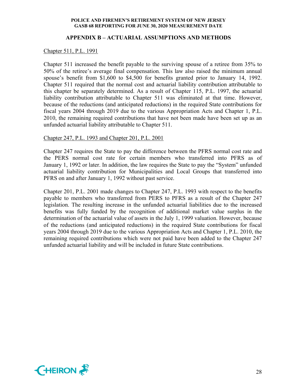## **APPENDIX B – ACTUARIAL ASSUMPTIONS AND METHODS**

#### Chapter 511, P.L. 1991

Chapter 511 increased the benefit payable to the surviving spouse of a retiree from 35% to 50% of the retiree's average final compensation. This law also raised the minimum annual spouse's benefit from \$1,600 to \$4,500 for benefits granted prior to January 14, 1992. Chapter 511 required that the normal cost and actuarial liability contribution attributable to this chapter be separately determined. As a result of Chapter 115, P.L. 1997, the actuarial liability contribution attributable to Chapter 511 was eliminated at that time. However, because of the reductions (and anticipated reductions) in the required State contributions for fiscal years 2004 through 2019 due to the various Appropriation Acts and Chapter 1, P.L. 2010, the remaining required contributions that have not been made have been set up as an unfunded actuarial liability attributable to Chapter 511.

## Chapter 247, P.L. 1993 and Chapter 201, P.L. 2001

Chapter 247 requires the State to pay the difference between the PFRS normal cost rate and the PERS normal cost rate for certain members who transferred into PFRS as of January 1, 1992 or later. In addition, the law requires the State to pay the "System" unfunded actuarial liability contribution for Municipalities and Local Groups that transferred into PFRS on and after January 1, 1992 without past service.

Chapter 201, P.L. 2001 made changes to Chapter 247, P.L. 1993 with respect to the benefits payable to members who transferred from PERS to PFRS as a result of the Chapter 247 legislation. The resulting increase in the unfunded actuarial liabilities due to the increased benefits was fully funded by the recognition of additional market value surplus in the determination of the actuarial value of assets in the July 1, 1999 valuation. However, because of the reductions (and anticipated reductions) in the required State contributions for fiscal years 2004 through 2019 due to the various Appropriation Acts and Chapter 1, P.L. 2010, the remaining required contributions which were not paid have been added to the Chapter 247 unfunded actuarial liability and will be included in future State contributions.

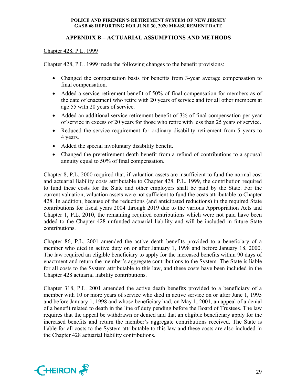## **APPENDIX B – ACTUARIAL ASSUMPTIONS AND METHODS**

## Chapter 428, P.L. 1999

Chapter 428, P.L. 1999 made the following changes to the benefit provisions:

- Changed the compensation basis for benefits from 3-year average compensation to final compensation.
- Added a service retirement benefit of 50% of final compensation for members as of the date of enactment who retire with 20 years of service and for all other members at age 55 with 20 years of service.
- Added an additional service retirement benefit of 3% of final compensation per year of service in excess of 20 years for those who retire with less than 25 years of service.
- Reduced the service requirement for ordinary disability retirement from 5 years to 4 years.
- Added the special involuntary disability benefit.
- Changed the preretirement death benefit from a refund of contributions to a spousal annuity equal to 50% of final compensation.

Chapter 8, P.L. 2000 required that, if valuation assets are insufficient to fund the normal cost and actuarial liability costs attributable to Chapter 428, P.L. 1999, the contribution required to fund these costs for the State and other employers shall be paid by the State. For the current valuation, valuation assets were not sufficient to fund the costs attributable to Chapter 428. In addition, because of the reductions (and anticipated reductions) in the required State contributions for fiscal years 2004 through 2019 due to the various Appropriation Acts and Chapter 1, P.L. 2010, the remaining required contributions which were not paid have been added to the Chapter 428 unfunded actuarial liability and will be included in future State contributions.

Chapter 86, P.L. 2001 amended the active death benefits provided to a beneficiary of a member who died in active duty on or after January 1, 1998 and before January 18, 2000. The law required an eligible beneficiary to apply for the increased benefits within 90 days of enactment and return the member's aggregate contributions to the System. The State is liable for all costs to the System attributable to this law, and these costs have been included in the Chapter 428 actuarial liability contributions.

Chapter 318, P.L. 2001 amended the active death benefits provided to a beneficiary of a member with 10 or more years of service who died in active service on or after June 1, 1995 and before January 1, 1998 and whose beneficiary had, on May 1, 2001, an appeal of a denial of a benefit related to death in the line of duty pending before the Board of Trustees. The law requires that the appeal be withdrawn or denied and that an eligible beneficiary apply for the increased benefits and return the member's aggregate contributions received. The State is liable for all costs to the System attributable to this law and these costs are also included in the Chapter 428 actuarial liability contributions.

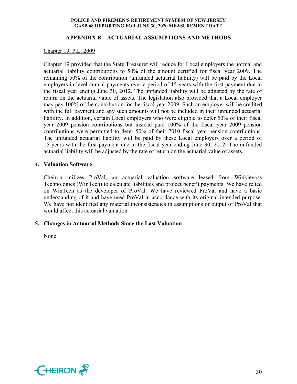## **APPENDIX B – ACTUARIAL ASSUMPTIONS AND METHODS**

## Chapter 19, P.L. 2009

Chapter 19 provided that the State Treasurer will reduce for Local employers the normal and actuarial liability contributions to 50% of the amount certified for fiscal year 2009. The remaining 50% of the contribution (unfunded actuarial liability) will be paid by the Local employers in level annual payments over a period of 15 years with the first payment due in the fiscal year ending June 30, 2012. The unfunded liability will be adjusted by the rate of return on the actuarial value of assets. The legislation also provided that a Local employer may pay 100% of the contribution for the fiscal year 2009. Such an employer will be credited with the full payment and any such amounts will not be included in their unfunded actuarial liability. In addition, certain Local employers who were eligible to defer 50% of their fiscal year 2009 pension contributions but instead paid 100% of the fiscal year 2009 pension contributions were permitted to defer 50% of their 2010 fiscal year pension contributions. The unfunded actuarial liability will be paid by these Local employers over a period of 15 years with the first payment due in the fiscal year ending June 30, 2012. The unfunded actuarial liability will be adjusted by the rate of return on the actuarial value of assets.

## **4. Valuation Software**

Cheiron utilizes ProVal, an actuarial valuation software leased from Winklevoss Technologies (WinTech) to calculate liabilities and project benefit payments. We have relied on WinTech as the developer of ProVal. We have reviewed ProVal and have a basic understanding of it and have used ProVal in accordance with its original intended purpose. We have not identified any material inconsistencies in assumptions or output of ProVal that would affect this actuarial valuation.

## **5. Changes in Actuarial Methods Since the Last Valuation**

None.

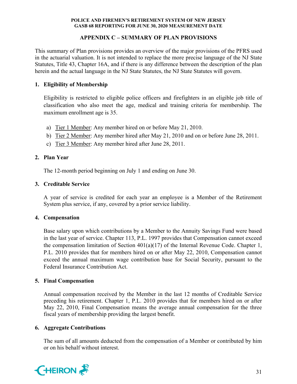## **APPENDIX C – SUMMARY OF PLAN PROVISIONS**

This summary of Plan provisions provides an overview of the major provisions of the PFRS used in the actuarial valuation. It is not intended to replace the more precise language of the NJ State Statutes, Title 43, Chapter 16A, and if there is any difference between the description of the plan herein and the actual language in the NJ State Statutes, the NJ State Statutes will govern.

## **1. Eligibility of Membership**

Eligibility is restricted to eligible police officers and firefighters in an eligible job title of classification who also meet the age, medical and training criteria for membership. The maximum enrollment age is 35.

- a) Tier 1 Member: Any member hired on or before May 21, 2010.
- b) Tier 2 Member: Any member hired after May 21, 2010 and on or before June 28, 2011.
- c) Tier 3 Member: Any member hired after June 28, 2011.

## **2. Plan Year**

The 12-month period beginning on July 1 and ending on June 30.

## **3. Creditable Service**

A year of service is credited for each year an employee is a Member of the Retirement System plus service, if any, covered by a prior service liability.

## **4. Compensation**

Base salary upon which contributions by a Member to the Annuity Savings Fund were based in the last year of service. Chapter 113, P.L. 1997 provides that Compensation cannot exceed the compensation limitation of Section  $401(a)(17)$  of the Internal Revenue Code. Chapter 1, P.L. 2010 provides that for members hired on or after May 22, 2010, Compensation cannot exceed the annual maximum wage contribution base for Social Security, pursuant to the Federal Insurance Contribution Act.

## **5. Final Compensation**

Annual compensation received by the Member in the last 12 months of Creditable Service preceding his retirement. Chapter 1, P.L. 2010 provides that for members hired on or after May 22, 2010, Final Compensation means the average annual compensation for the three fiscal years of membership providing the largest benefit.

## **6. Aggregate Contributions**

The sum of all amounts deducted from the compensation of a Member or contributed by him or on his behalf without interest.

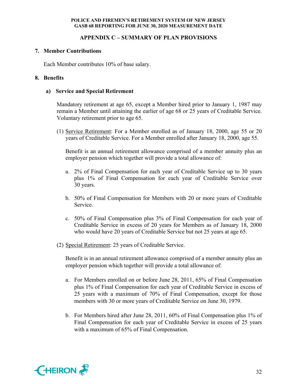## **APPENDIX C – SUMMARY OF PLAN PROVISIONS**

## **7. Member Contributions**

Each Member contributes 10% of base salary.

## **8. Benefits**

## **a) Service and Special Retirement**

Mandatory retirement at age 65, except a Member hired prior to January 1, 1987 may remain a Member until attaining the earlier of age 68 or 25 years of Creditable Service. Voluntary retirement prior to age 65.

(1) Service Retirement: For a Member enrolled as of January 18, 2000, age 55 or 20 years of Creditable Service. For a Member enrolled after January 18, 2000, age 55.

Benefit is an annual retirement allowance comprised of a member annuity plus an employer pension which together will provide a total allowance of:

- a. 2% of Final Compensation for each year of Creditable Service up to 30 years plus 1% of Final Compensation for each year of Creditable Service over 30 years.
- b. 50% of Final Compensation for Members with 20 or more years of Creditable Service.
- c. 50% of Final Compensation plus 3% of Final Compensation for each year of Creditable Service in excess of 20 years for Members as of January 18, 2000 who would have 20 years of Creditable Service but not 25 years at age 65.
- (2) Special Retirement: 25 years of Creditable Service.

Benefit is in an annual retirement allowance comprised of a member annuity plus an employer pension which together will provide a total allowance of:

- a. For Members enrolled on or before June 28, 2011, 65% of Final Compensation plus 1% of Final Compensation for each year of Creditable Service in excess of 25 years with a maximum of 70% of Final Compensation, except for those members with 30 or more years of Creditable Service on June 30, 1979.
- b. For Members hired after June 28, 2011, 60% of Final Compensation plus 1% of Final Compensation for each year of Creditable Service in excess of 25 years with a maximum of 65% of Final Compensation.

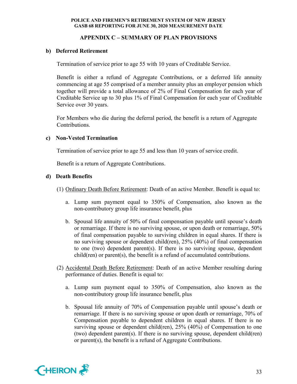## **APPENDIX C – SUMMARY OF PLAN PROVISIONS**

## **b) Deferred Retirement**

Termination of service prior to age 55 with 10 years of Creditable Service.

Benefit is either a refund of Aggregate Contributions, or a deferred life annuity commencing at age 55 comprised of a member annuity plus an employer pension which together will provide a total allowance of 2% of Final Compensation for each year of Creditable Service up to 30 plus 1% of Final Compensation for each year of Creditable Service over 30 years.

For Members who die during the deferral period, the benefit is a return of Aggregate Contributions.

## **c) Non-Vested Termination**

Termination of service prior to age 55 and less than 10 years of service credit.

Benefit is a return of Aggregate Contributions.

## **d) Death Benefits**

- (1) Ordinary Death Before Retirement: Death of an active Member. Benefit is equal to:
	- a. Lump sum payment equal to 350% of Compensation, also known as the non-contributory group life insurance benefit, plus
	- b. Spousal life annuity of 50% of final compensation payable until spouse's death or remarriage. If there is no surviving spouse, or upon death or remarriage, 50% of final compensation payable to surviving children in equal shares. If there is no surviving spouse or dependent child(ren), 25% (40%) of final compensation to one (two) dependent parent(s). If there is no surviving spouse, dependent child(ren) or parent(s), the benefit is a refund of accumulated contributions.
- (2) Accidental Death Before Retirement: Death of an active Member resulting during performance of duties. Benefit is equal to:
	- a. Lump sum payment equal to 350% of Compensation, also known as the non-contributory group life insurance benefit, plus
	- b. Spousal life annuity of 70% of Compensation payable until spouse's death or remarriage. If there is no surviving spouse or upon death or remarriage, 70% of Compensation payable to dependent children in equal shares. If there is no surviving spouse or dependent child(ren), 25% (40%) of Compensation to one (two) dependent parent(s). If there is no surviving spouse, dependent child(ren) or parent(s), the benefit is a refund of Aggregate Contributions.

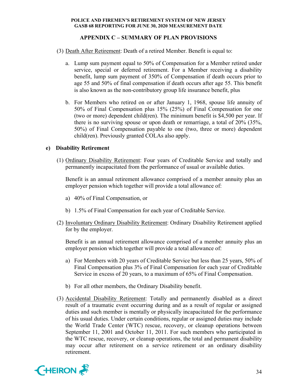## **APPENDIX C – SUMMARY OF PLAN PROVISIONS**

- (3) Death After Retirement: Death of a retired Member. Benefit is equal to:
	- a. Lump sum payment equal to 50% of Compensation for a Member retired under service, special or deferred retirement. For a Member receiving a disability benefit, lump sum payment of 350% of Compensation if death occurs prior to age 55 and 50% of final compensation if death occurs after age 55. This benefit is also known as the non-contributory group life insurance benefit, plus
	- b. For Members who retired on or after January 1, 1968, spouse life annuity of 50% of Final Compensation plus 15% (25%) of Final Compensation for one (two or more) dependent child(ren). The minimum benefit is \$4,500 per year. If there is no surviving spouse or upon death or remarriage, a total of 20% (35%, 50%) of Final Compensation payable to one (two, three or more) dependent child(ren). Previously granted COLAs also apply.

## **e) Disability Retirement**

(1) Ordinary Disability Retirement: Four years of Creditable Service and totally and permanently incapacitated from the performance of usual or available duties.

Benefit is an annual retirement allowance comprised of a member annuity plus an employer pension which together will provide a total allowance of:

- a) 40% of Final Compensation, or
- b) 1.5% of Final Compensation for each year of Creditable Service.
- (2) Involuntary Ordinary Disability Retirement: Ordinary Disability Retirement applied for by the employer.

Benefit is an annual retirement allowance comprised of a member annuity plus an employer pension which together will provide a total allowance of:

- a) For Members with 20 years of Creditable Service but less than 25 years, 50% of Final Compensation plus 3% of Final Compensation for each year of Creditable Service in excess of 20 years, to a maximum of 65% of Final Compensation.
- b) For all other members, the Ordinary Disability benefit.
- (3) Accidental Disability Retirement: Totally and permanently disabled as a direct result of a traumatic event occurring during and as a result of regular or assigned duties and such member is mentally or physically incapacitated for the performance of his usual duties. Under certain conditions, regular or assigned duties may include the World Trade Center (WTC) rescue, recovery, or cleanup operations between September 11, 2001 and October 11, 2011. For such members who participated in the WTC rescue, recovery, or cleanup operations, the total and permanent disability may occur after retirement on a service retirement or an ordinary disability retirement.

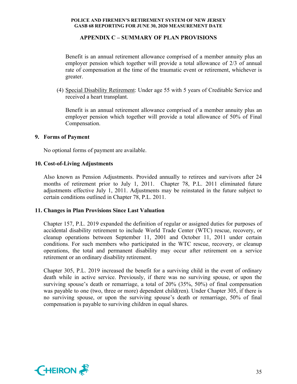## **APPENDIX C – SUMMARY OF PLAN PROVISIONS**

Benefit is an annual retirement allowance comprised of a member annuity plus an employer pension which together will provide a total allowance of 2/3 of annual rate of compensation at the time of the traumatic event or retirement, whichever is greater.

(4) Special Disability Retirement: Under age 55 with 5 years of Creditable Service and received a heart transplant.

Benefit is an annual retirement allowance comprised of a member annuity plus an employer pension which together will provide a total allowance of 50% of Final Compensation.

## **9. Forms of Payment**

No optional forms of payment are available.

## **10. Cost-of-Living Adjustments**

Also known as Pension Adjustments. Provided annually to retirees and survivors after 24 months of retirement prior to July 1, 2011. Chapter 78, P.L. 2011 eliminated future adjustments effective July 1, 2011. Adjustments may be reinstated in the future subject to certain conditions outlined in Chapter 78, P.L. 2011.

## **11. Changes in Plan Provisions Since Last Valuation**

Chapter 157, P.L. 2019 expanded the definition of regular or assigned duties for purposes of accidental disability retirement to include World Trade Center (WTC) rescue, recovery, or cleanup operations between September 11, 2001 and October 11, 2011 under certain conditions. For such members who participated in the WTC rescue, recovery, or cleanup operations, the total and permanent disability may occur after retirement on a service retirement or an ordinary disability retirement.

Chapter 305, P.L. 2019 increased the benefit for a surviving child in the event of ordinary death while in active service. Previously, if there was no surviving spouse, or upon the surviving spouse's death or remarriage, a total of 20% (35%, 50%) of final compensation was payable to one (two, three or more) dependent child(ren). Under Chapter 305, if there is no surviving spouse, or upon the surviving spouse's death or remarriage, 50% of final compensation is payable to surviving children in equal shares.

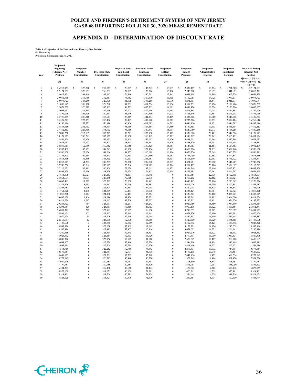## **APPENDIX D – DETERMINATION OF DISCOUNT RATE**

# **Table 1 - Projection of the Pension Plan's Fiduciary Net Position** (In Thousands) Projections Commence June 30, 2020

| Year                    | Projected<br><b>Beginning</b><br><b>Fiduciary Net</b><br>Position | Projected<br>Member<br>Contributions | <b>Projected State</b><br>Contributions | Projected State-<br>paid Local<br>Contributions | <b>Projected Local</b><br><b>Employer</b><br>Contributions | Projected<br>Lottery<br>Contributions | Projected<br><b>Benefit</b><br>Payments | Projected<br>Administrative<br><b>Expenses</b> | Projected<br>Investment<br><b>Earnings</b> | <b>Projected Ending</b><br><b>Fiduciary Net</b><br>Position<br>$(j) = (a) + (b) + (c)$ |
|-------------------------|-------------------------------------------------------------------|--------------------------------------|-----------------------------------------|-------------------------------------------------|------------------------------------------------------------|---------------------------------------|-----------------------------------------|------------------------------------------------|--------------------------------------------|----------------------------------------------------------------------------------------|
|                         | (a)                                                               | (b)                                  | (c)                                     | (d)                                             | (e)                                                        | (f)                                   | (g)                                     | (h)                                            | (i)                                        | $+(d)+(e)+(f)-(g)$<br>$-(h) + (i)$                                                     |
|                         | Ś<br>26,217,951                                                   | $\mathbb S$<br>376,370               | s<br>257,565                            | \$<br>178,577                                   | s<br>1,145,293                                             | \$<br>13,037                          | s<br>2,832,489                          | s<br>13,374                                    | 1,781,600<br>\$                            | s<br>27,124,531                                                                        |
| $\overline{2}$          | 27,124,531                                                        | 370,635                              | 268,531                                 | 177,599                                         | 1,176,526                                                  | 13,190                                | 2,943,570                               | 13,893                                         | 1,841,823                                  | 28,015,371                                                                             |
| $\overline{\mathbf{3}}$ | 28,015,371                                                        | 364,469                              | 303,617                                 | 176,416                                         | 1,340,211                                                  | 13,343                                | 3,051,119                               | 14,399                                         | 1,903,929                                  | 29,051,838                                                                             |
| $\overline{4}$          | 29,051,838                                                        | 356,756                              | 312,457                                 | 178,582                                         | 1,369,390                                                  | 13,505                                | 3,162,051                               | 14,925                                         | 1,973,171                                  | 30,078,723                                                                             |
| 5                       | 30,078,723                                                        | 348.249                              | 320,306                                 | 181.505                                         | 1.393.266                                                  | 13,670                                | 3.271.307                               | 15,441                                         | 2,041,677                                  | 31,090,647                                                                             |
| 6                       | 31,090,647                                                        | 338,128                              | 328,288                                 | 184,531                                         | 1,414,234                                                  | 13,836                                | 3,384,355                               | 15,976                                         | 2,108,906                                  | 32,078,239                                                                             |
| 7                       | 32,078,239                                                        | 326,519                              | 335,962                                 | 188,773                                         | 1,403,763                                                  | 14,005                                | 3,499,476                               | 16,524                                         | 2,173,796                                  | 33,005,057                                                                             |
| 8                       | 33,005,057                                                        | 314,318                              | 342,959                                 | 192,003                                         | 1,417,416                                                  | 14,165                                | 3,611,568                               | 17,058                                         | 2,234,883                                  | 33,892,176                                                                             |
| $\mathbf Q$             | 33,892,176                                                        | 301,420                              | 349,631                                 | 195,146                                         | 1,430,339                                                  | 14,275                                | 3,721,649                               | 17,581                                         | 2,293,212                                  | 34,736,969                                                                             |
| 10                      | 34,736,969                                                        | 288,310                              | 356,611                                 | 198,219                                         | 1,441,284                                                  | 14,419                                | 3,826,708                               | 18,080                                         | 2,348,718                                  | 35,539,743                                                                             |
| 11                      | 35,539,743                                                        | 273,761                              | 356,476                                 | 197,407                                         | 1,432,040                                                  | 14,565                                | 3,935,266                               | 18,593                                         | 2,400,484                                  | 36,260,616                                                                             |
| 12                      | 36,260,616                                                        | 257,733                              | 356,180                                 | 196,456                                         | 1,419,693                                                  | 14,712                                | 4,046,950                               | 19,121                                         | 2,446,297                                  | 36,885,616                                                                             |
| 13                      | 36,885,616                                                        | 241,962                              | 355,614                                 | 195,060                                         | 1,404,164                                                  | 14,860                                | 4,150,855                               | 19,613                                         | 2,485,604                                  | 37,412,413                                                                             |
| 14                      | 37,412,413                                                        | 226,366                              | 354,732                                 | 193,660                                         | 1,387,843                                                  | 15,011                                | 4,247,950                               | 20,073                                         | 2,518,256                                  | 37,840,258                                                                             |
| 15<br>16                | 37,840,258<br>38,179,173                                          | 212,009<br>200,291                   | 353,327<br>352,072                      | 192,225<br>190,838                              | 1,372,938<br>1,360,182                                     | 15,162<br>15,315                      | 4,330,808<br>4,390,797                  | 20,465<br>20,745                               | 2,544,526<br>2,565,495                     | 38,179,173<br>38,451,824                                                               |
| 17                      | 38,451,824                                                        | 189,479                              | 351,937                                 | 189,608                                         | 1,352,052                                                  | 15,470                                | 4,438,755                               | 20,968                                         | 2,582,384                                  | 38,673,032                                                                             |
| 18                      | 38,673,032                                                        | 177,172                              | 351,501                                 | 188,645                                         | 1,346,661                                                  | 15,626                                | 4,488,529                               | 21,201                                         | 2,595,604                                  | 38,838,511                                                                             |
| 19                      | 38,838,511                                                        | 162,549                              | 350,352                                 | 187,550                                         | 1,339,426                                                  | 15,784                                | 4,544,863                               | 21,464                                         | 2,604,563                                  | 38,932,409                                                                             |
| 20                      | 38,932,409                                                        | 145,831                              | 349,243                                 | 186,138                                         | 1,327,406                                                  | 15,943                                | 4,606,726                               | 21,753                                         | 2,608,160                                  | 38,936,650                                                                             |
| 21                      | 38,936,650                                                        | 127,656                              | 348,066                                 | 184,337                                         | 1,310,688                                                  | 16,104                                | 4,670,336                               | 22,049                                         | 2,605,278                                  | 38,836,395                                                                             |
| 22                      | 38,836,395                                                        | 107,814                              | 346,643                                 | 182,333                                         | 1,290,360                                                  | 16,267                                | 4,736,959                               | 22,362                                         | 2,594,847                                  | 38,615,336                                                                             |
| 23                      | 38,615,336                                                        | 86,336                               | 344,315                                 | 180,111                                         | 1,266,487                                                  | 16,431                                | 4,806,199                               | 22,693                                         | 2,575,722                                  | 38,255,847                                                                             |
| 24                      | 38,255,847                                                        | 64,233                               | 340,287                                 | 177,778                                         | 1,239,588                                                  | 16,597                                | 4,871,961                               | 23,010                                         | 2,546,907                                  | 37,746,266                                                                             |
| 25                      | 37,746,266                                                        | 46,584                               | 335,029                                 | 175,386                                         | 1,211,013                                                  | 16,764                                | 4,904,479                               | 23,166                                         | 2,508,827                                  | 37,112,225                                                                             |
| 26                      | 37,112,225                                                        | 35,415                               | 330,809                                 | 173,229                                         | 1,189,061                                                  | 16,933                                | 4,894,549                               | 23,116                                         | 2,463,871                                  | 36,403,878                                                                             |
| 27                      | 36,403,878                                                        | 27,156                               | 328,620                                 | 171,978                                         | 1,176,807                                                  | 17,104                                | 4,863,181                               | 22,961                                         | 2,414,797                                  | 35,654,198                                                                             |
| 28                      | 35,654,198                                                        | 20,627                               | 327,183                                 | 171,137                                         | 1,168,745                                                  | $\theta$                              | 4,817,354                               | 22,736                                         | 2,362,895                                  | 34,864,694                                                                             |
| 29                      | 34,864,694                                                        | 15,501                               | 326,140                                 | 170,510                                         | 1,162,976                                                  | $\theta$                              | 4,759,212                               | 22,452                                         | 2,309,324                                  | 34,067,481                                                                             |
| 30                      | 34,067,481                                                        | 11,529                               | 325,382                                 | 170,058                                         | 1,158,993                                                  | $\Omega$                              | 4,690,463                               | 22,116                                         | 2,255,662                                  | 33,276,526                                                                             |
| 31                      | 33,276,526                                                        | 8,433                                | 324,862                                 | 169,749                                         | 1,156,382                                                  | $\theta$                              | 4,613,026                               | 21,739                                         | 2,202,801                                  | 32,503,987                                                                             |
| 32                      | 32,503,987                                                        | 6,076                                | 324,524                                 | 169,551                                         | 1,154,715                                                  | $\theta$                              | 4,527,945                               | 21,325                                         | 2,151,543                                  | 31,761,126                                                                             |
| 33                      | 31,761,126                                                        | 4,285                                | 324,309                                 | 169,444                                         | 1,153,798                                                  | $\theta$                              | 4,436,427                               | 20,881                                         | 2,102,623                                  | 31,058,278                                                                             |
| 34                      | 31,058,278                                                        | 2.944                                | 324,170                                 | 169,411                                         | 1.153.364                                                  | $\theta$                              | 4.339.303                               | 20,410                                         | 2,056,725                                  | 30,405,179                                                                             |
| 35                      | 30,405,179                                                        | 1,964                                | 324,096                                 | 169,434                                         | 1,153,221                                                  | $\theta$                              | 4,237,245                               | 19,915                                         | 2,014,500                                  | 29,811,234                                                                             |
| 36                      | 29,811,234                                                        | 1,247                                | 324,062                                 | 169,500                                         | 1,153,257                                                  | $\theta$                              | 4,130,952                               | 19,401                                         | 1,976,576                                  | 29,285,523                                                                             |
| 37                      | 29,285,523                                                        | 754                                  | 324,037                                 | 161,237                                         | 628,242                                                    | $\theta$                              | 4,020,769                               | 18,869                                         | 1,934,399                                  | 28,294,554                                                                             |
| 38                      | 28,294,554                                                        | 426                                  | 324,017                                 | 153,466                                         | 143,913                                                    | $\theta$                              | 3,907,196                               | 18,322                                         | 1,860,484                                  | 26,851,341                                                                             |
| 39                      | 26,851,341                                                        | 222                                  | 323,991                                 | 153,009                                         | 118,000                                                    | $\theta$                              | 3,790,653                               | 17,762                                         | 1,763,027                                  | 25,401,175                                                                             |
| 40                      | 25,401,175                                                        | 103                                  | 323,957                                 | 152,948                                         | 115,961                                                    | $\theta$                              | 3,671,570                               | 17,190                                         | 1,665,591                                  | 23,970,974                                                                             |
| 41                      | 23,970,974                                                        | 38                                   | 323,906                                 | 152,919                                         | 115,064                                                    | $\theta$                              | 3,550,352                               | 16,609                                         | 1,569,648                                  | 22,565,587                                                                             |
| 42                      | 22,565,587                                                        | 13                                   | 323,836                                 | 152,898                                         | 114,088                                                    | $\theta$                              | 3,427,300                               | 16,020                                         | 1,475,505                                  | 21,188,608                                                                             |
| 43                      | 21,188,608                                                        | $\mathfrak z$                        | 323,745                                 | 152,882                                         | 112,959                                                    | $\overline{0}$                        | 3,302,842                               | 15,425                                         | 1,383,396                                  | 19,843,326                                                                             |
| 44                      | 19,843,326                                                        | $\mathbf{0}$                         | 323,630                                 | 152,869                                         | 111,649                                                    | $\theta$                              | 3,177,301                               | 14,826                                         | 1,293,539                                  | 18,532,886                                                                             |
| 45                      | 18,532,886                                                        | $\theta$                             | 323,493                                 | 152,857                                         | 110,164                                                    | $\theta$                              | 3,051,005                               | 14,225                                         | 1,206,145                                  | 17,260,316                                                                             |
| 46                      | 17,260,316                                                        | $\mathbf{0}$<br>$\theta$             | 323,334                                 | 152,845                                         | 108,517                                                    | $\theta$<br>$\theta$                  | 2,924,270                               | 13,622                                         | 1,121,412                                  | 16,028,532                                                                             |
| 47                      | 16,028,532                                                        | $\theta$                             | 323,154                                 | 152,833                                         | 106,729                                                    | $\theta$                              | 2,797,391                               | 13,019                                         | 1,039,537                                  | 14,840,376                                                                             |
| 48                      | 14,840,376                                                        | $\overline{0}$                       | 322,956                                 | 152,822                                         | 104,810                                                    | $\theta$                              | 2,670,649                               | 12,417                                         | 960,708                                    | 13,698,607                                                                             |
| 49<br>50                | 13,698,607                                                        | $\theta$                             | 322,739<br>322,504                      | 152,810<br>152,798                              | 102,774<br>100,620                                         | $\theta$                              | 2,544,306                               | 11,818                                         | 885,109<br>812,921                         | 12,605,915<br>11,564,919                                                               |
| 51                      | 12,605,915                                                        | $\theta$                             |                                         |                                                 |                                                            | $\theta$                              | 2,418,616                               | 11,222                                         |                                            |                                                                                        |
| 52                      | 11,564,919<br>10,578,154                                          | $\theta$                             | 322,252<br>321,984                      | 152,786<br>152,774                              | 98,342<br>95,936                                           | $\bf{0}$                              | 2,293,831<br>2,170,195                  | 10,632<br>10,048                               | 744,317<br>679,467                         | 10,578,154<br>9,648,073                                                                |
| 53                      | 9,648,073                                                         | $\theta$                             | 321,701                                 | 152,762                                         | 93,398                                                     | $\theta$                              | 2,047,956                               | 9,472                                          | 618,534                                    | 8,777,042                                                                              |
| 54                      | 8,777,042                                                         | $\theta$                             | 320,797                                 | 145,440                                         | 90,730                                                     | $\theta$                              | 1,927,349                               | 8,904                                          | 561,470                                    | 7,959,226                                                                              |
| 55                      | 7,959,226                                                         | $\overline{0}$                       | 320,183                                 | 141,761                                         | 87,612                                                     | $\overline{0}$                        | 1,808,610                               | 8,345                                          | 508,161                                    | 7,199,987                                                                              |
| 56                      | 7,199,987                                                         | $\theta$                             | 319,786                                 | 140,884                                         | 84,509                                                     | $\Omega$                              | 1,691,954                               | 7,797                                          | 458,959                                    | 6,504,373                                                                              |
| 57                      | 6,504,373                                                         | $\mathbf{0}$                         | 319,430                                 | 140,668                                         | 81,404                                                     | $\theta$                              | 1,577,602                               | 7,262                                          | 414,148                                    | 5,875,159                                                                              |
| 58                      | 5,875,159                                                         | $\theta$                             | 319,073                                 | 140,608                                         | 78,211                                                     | $\theta$                              | 1,465,763                               | 6,738                                          | 373,901                                    | 5,314,451                                                                              |
| 59                      | 5,314,451                                                         | $\theta$                             | 318,704                                 | 140,585                                         | 74,909                                                     | $\Omega$                              | 1,356,648                               | 6,229                                          | 338,354                                    | 4,824,125                                                                              |
| 60                      | 4,824,125                                                         | $\theta$                             | 318,321                                 | 140,570                                         | 71,499                                                     | $\theta$                              | 1,250,467                               | 5,734                                          | 307,630                                    | 4,405,944                                                                              |
|                         |                                                                   |                                      |                                         |                                                 |                                                            |                                       |                                         |                                                |                                            |                                                                                        |

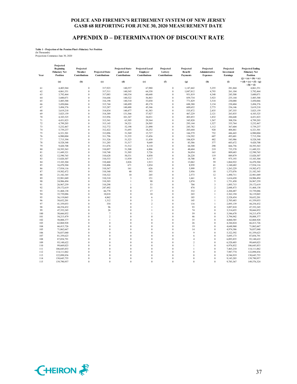## **APPENDIX D – DETERMINATION OF DISCOUNT RATE**

# **Table 1 - Projection of the Pension Plan's Fiduciary Net Position** (In Thousands) Projections Commence June 30, 2020

| Year | Projected<br>Beginning<br><b>Fiduciary Net</b><br>Position | Projected<br>Member<br>Contributions | <b>Projected State</b><br>Contributions | Projected State-<br>paid Local<br>Contributions | <b>Projected Local</b><br><b>Employer</b><br>Contributions | Projected<br>Lottery<br>Contributions | Projected<br><b>Benefit</b><br>Payments | Projected<br>Administrative<br><b>Expenses</b> | Projected<br>Investment<br><b>Earnings</b> | <b>Projected Ending</b><br><b>Fiduciary Net</b><br>Position   |
|------|------------------------------------------------------------|--------------------------------------|-----------------------------------------|-------------------------------------------------|------------------------------------------------------------|---------------------------------------|-----------------------------------------|------------------------------------------------|--------------------------------------------|---------------------------------------------------------------|
|      | (a)                                                        | (b)                                  | (c)                                     | (d)                                             | (e)                                                        | (f)                                   | (g)                                     | (h)                                            | (i)                                        | $(j) = (a) + (b) + (c)$<br>$+(d)+(e)+(f)-(g)$<br>$-(h) + (i)$ |
| 61   | 4,405,944                                                  | $\mathbf{0}$                         | 317,923                                 | 140,557                                         | 67,980                                                     | $\theta$                              | 1,147,442                               | 5,255                                          | 281,844                                    | 4,061,551                                                     |
| 62   | 4,061,551                                                  | $\boldsymbol{0}$                     | 317,511                                 | 140,545                                         | 64,358                                                     | $\theta$                              | 1,047,812                               | 4,793                                          | 261,104                                    | 3,792,464                                                     |
| 63   | 3,792,464                                                  | $\mathbf{0}$                         | 317,083                                 | 140,534                                         | 60,648                                                     | $\theta$                              | 951,819                                 | 4,348                                          | 245,508                                    | 3,600,071                                                     |
| 64   | 3,600,071                                                  | $\mathbf{0}$                         | 316,646                                 | 140,522                                         | 56,863                                                     | $\theta$                              | 859,734                                 | 3,923                                          | 235,144                                    | 3,485,588                                                     |
| 65   | 3,485,588                                                  | $\mathbf{0}$                         | 316,198                                 | 140,510                                         | 53,030                                                     | $\theta$                              | 771,829                                 | 3,518                                          | 230,088                                    | 3,450,066                                                     |
| 66   | 3.450.066                                                  | $\mathbf{0}$                         | 315,744                                 | 140,499                                         | 49,178                                                     | $\theta$                              | 688,380                                 | 3,134                                          | 230,404                                    | 3,494,376                                                     |
| 67   | 3,494,376                                                  | $\mathbf{0}$                         | 315,287                                 | 140,488                                         | 45,346                                                     | $\theta$                              | 609,652                                 | 2,773                                          | 236,146                                    | 3,619,218                                                     |
| 68   | 3,619,218                                                  | $\boldsymbol{0}$                     | 314,834                                 | 140,477                                         | 41,583                                                     | $\theta$                              | 535,872                                 | 2,435                                          | 247,355                                    | 3,825,159                                                     |
| 69   | 3,825,159                                                  | $\mathbf{0}$                         | 314,389                                 | 131,566                                         | 37,927                                                     | $\theta$                              | 467,229                                 | 2,121                                          | 263,835                                    | 4,103,525                                                     |
| 70   | 4,103,525                                                  | $\mathbf{0}$                         | 313,956                                 | 101,347                                         | 34,031                                                     | $\theta$                              | 403,853                                 | 1,832                                          | 284,648                                    | 4,431,823                                                     |
| 71   | 4,431,823                                                  | $\mathbf{0}$                         | 313,541                                 | 63,305                                          | 29,364                                                     | $\theta$                              | 345,820                                 | 1,567                                          | 308,556                                    | 4,799,203                                                     |
| 72   | 4,799,203                                                  | $\mathbf{0}$                         | 313,145                                 | 54,321                                          | 24,505                                                     | $\theta$                              | 293,144                                 | 1,327                                          | 335,764                                    | 5,232,467                                                     |
| 73   | 5,232,467                                                  | $\mathbf{0}$                         | 312,772                                 | 52,198                                          | 21,090                                                     | $\theta$                              | 245,782                                 | 1,112                                          | 367,604                                    | 5,739,237                                                     |
| 74   | 5,739,237                                                  | $\boldsymbol{0}$                     | 312,422                                 | 51,693                                          | 18,252                                                     | $\theta$                              | 203,644                                 | 920                                            | 404,461                                    | 6,321,501                                                     |
| 75   | 6,321,501                                                  | $\mathbf{0}$                         | 312,096                                 | 51,569                                          | 15,727                                                     | $\theta$                              | 166,579                                 | 752                                            | 446,443                                    | 6,980,004                                                     |
| 76   | 6,980,004                                                  | $\mathbf{0}$                         | 311,796                                 | 51,535                                          | 13,456                                                     | $\theta$                              | 134,392                                 | 607                                            | 493,601                                    | 7,715,394                                                     |
| 77   | 7,715,394                                                  | $\mathbf{0}$                         | 311,526                                 | 51,523                                          | 11,430                                                     | $\theta$                              | 106,829                                 | 482                                            | 545,986                                    | 8,528,548                                                     |
| 78   | 8,528,548                                                  | $\mathbf{0}$                         | 311,285                                 | 51,517                                          | 9,649                                                      | $\theta$                              | 83,586                                  | 377                                            | 603,672                                    | 9,420,708                                                     |
| 79   | 9,420,708                                                  | $\mathbf{0}$                         | 311,076                                 | 51,512                                          | 8,110                                                      | $\theta$                              | 64,308                                  | 290                                            | 666,756                                    | 10,393,563                                                    |
| 80   | 10,393,563                                                 | $\mathbf{0}$                         | 310,897                                 | 51,508                                          | 6,806                                                      | $\theta$                              | 48,604                                  | 219                                            | 735,370                                    | 11,449,321                                                    |
| 81   | 11,449,321                                                 | $\theta$                             | 310,748                                 | 51,505                                          | 5,726                                                      | $\theta$                              | 36,054                                  | 163                                            | 809,683                                    | 12,590,765                                                    |
| 82   | 12,590,765                                                 | $\mathbf{0}$                         | 310,628                                 | 50,531                                          | 4,850                                                      | $\theta$                              | 26,228                                  | 119                                            | 889,879                                    | 13,820,307                                                    |
| 83   | 13,820,307                                                 | $\mathbf{0}$                         | 310,533                                 | 11,939                                          | 4,117                                                      | $\overline{0}$                        | 18,700                                  | 85                                             | 975,193                                    | 15,103,304                                                    |
| 84   | 15,103,304                                                 | $\mathbf{0}$                         | 310,460                                 | 2,826                                           | 1,913                                                      | $\theta$                              | 13,062                                  | 59                                             | 1,064,922                                  | 16,470,304                                                    |
| 85   | 16,470,304                                                 | $\boldsymbol{0}$                     | 310,406                                 | 671                                             | 1,034                                                      | $\overline{0}$                        | 8,939                                   | 41                                             | 1,160,682                                  | 17,934,116                                                    |
| 86   | 17,934,116                                                 | $\theta$                             | 310,367                                 | 161                                             | 626                                                        | $\theta$                              | 5,999                                   | 27                                             | 1,263,229                                  | 19,502,472                                                    |
| 87   | 19,502,472                                                 | $\mathbf{0}$                         | 310,340                                 | 40                                              | 393                                                        | $\theta$                              | 3,956                                   | 18                                             | 1,373,076                                  | 21,182,345                                                    |
| 88   | 21,182,345                                                 | $\mathbf{0}$                         | 310,322                                 | 10                                              | 245                                                        | $\theta$                              | 2,573                                   | 12                                             | 1,490,711                                  | 22,981,049                                                    |
| 89   | 22,981,049                                                 | $\mathbf{0}$                         | 310,310                                 | 3                                               | 151                                                        | $\theta$                              | 1,661                                   | 8                                              | 1,616,650                                  | 24,906,494                                                    |
| 90   | 24,906,494                                                 | $\boldsymbol{0}$                     | 310,303                                 | 1                                               | 90                                                         | $\overline{0}$                        | 1,074                                   | 5                                              | 1,751,450                                  | 26,967,259                                                    |
| 91   | 26,967,259                                                 | $\mathbf{0}$                         | 310,298                                 | 1                                               | 53                                                         | $\theta$                              | 704                                     | $\overline{\mathbf{3}}$                        | 1,895,715                                  | 29,172,619                                                    |
| 92   | 29,172,619                                                 | $\mathbf{0}$                         | 247,492                                 | $\theta$                                        | 31                                                         | $\theta$                              | 474                                     | $\overline{2}$                                 | 2,048,473                                  | 31,468,138                                                    |
| 93   | 31,468,138                                                 | $\mathbf{0}$                         | 66,778                                  | $\theta$                                        | 17                                                         | $\theta$                              | 332                                     | $\overline{2}$                                 | 2,204,487                                  | 33,739,086                                                    |
| 94   | 33,739,086                                                 | $\mathbf{0}$                         | 18,018                                  | $\theta$                                        | 10                                                         | $\theta$                              | 243                                     | $\overline{1}$                                 | 2,362,194                                  | 36,119,065                                                    |
| 95   | 36,119,065                                                 | $\boldsymbol{0}$                     | 4,862                                   | $\bf{0}$                                        | 6                                                          | $\theta$                              | 185                                     | $\mathbf{I}$                                   | 2,528,454                                  | 38,652,201                                                    |
| 96   | 38,652,201                                                 | $\mathbf{0}$                         | 1,312                                   | $\theta$                                        | $\overline{3}$                                             | $\theta$                              | 145                                     | $\overline{1}$                                 | 2,705,683                                  | 41,359,053                                                    |
| 97   | 41,359,053                                                 | $\boldsymbol{0}$                     | 354                                     | $\bf{0}$                                        | $\overline{c}$                                             | $\theta$                              | 116                                     | $\mathbf{1}$                                   | 2,895,139                                  | 44,254,432                                                    |
| 98   | 44,254,432                                                 | $\theta$                             | 96                                      | $\theta$                                        | $\mathbf{1}$                                               | $\theta$                              | 93                                      | $\Omega$                                       | 3,097,810                                  | 47,352,245                                                    |
| 99   | 47,352,245                                                 | $\theta$                             | 26                                      | $\theta$                                        | $\mathbf{1}$                                               | $\theta$                              | 74                                      | $\Omega$                                       | 3,314,655                                  | 50,666,852                                                    |
| 100  | 50,666,852                                                 | $\mathbf{0}$                         | $\overline{7}$                          | $\theta$                                        | 1                                                          | $\theta$                              | 59                                      | $\Omega$                                       | 3,546,678                                  | 54,213,479                                                    |
| 101  | 54,213,479                                                 | $\theta$                             | $\overline{c}$                          | $\theta$                                        | $\theta$                                                   | $\theta$                              | 46                                      | $\mathbf{0}$                                   | 3,794,942                                  | 58,008,377                                                    |
| 102  | 58,008,377                                                 | $\boldsymbol{0}$                     | $\mathbf{1}$                            | $\bf{0}$                                        | $\bf{0}$                                                   | $\theta$                              | 35                                      | $\boldsymbol{0}$                               | 4,060,585                                  | 62,068,928                                                    |
| 103  | 62,068,928                                                 | $\mathbf{0}$                         | $\mathbf{0}$                            | $\theta$                                        | $\theta$                                                   | $\theta$                              | 26                                      | $\Omega$                                       | 4,344,824                                  | 66,413,726                                                    |
| 104  | 66,413,726                                                 | $\theta$                             | $\bf{0}$                                | $\theta$                                        | $\theta$                                                   | $\theta$                              | 19                                      | $\Omega$                                       | 4,648,960                                  | 71,062,667                                                    |
| 105  | 71,062,667                                                 | $\theta$                             | $\mathbf{0}$                            | $\theta$                                        | $\theta$                                                   | $\theta$                              | 14                                      | $\Omega$                                       | 4,974,386                                  | 76,037,040                                                    |
| 106  | 76,037,040                                                 | $\theta$                             | $\theta$                                | $\theta$                                        | $\theta$                                                   | $\theta$                              | 9                                       | $\Omega$                                       | 5,322,592                                  | 81,359,623                                                    |
| 107  | 81,359,623                                                 | $\boldsymbol{0}$                     | $\boldsymbol{0}$                        | $\bf{0}$                                        | $\bf{0}$                                                   | $\theta$                              | 6                                       | $\boldsymbol{0}$                               | 5,695,173                                  | 87,054,791                                                    |
| 108  | 87,054,791                                                 | $\mathbf{0}$                         | $\mathbf{0}$                            | $\theta$                                        | $\theta$                                                   | $\theta$                              | $\overline{4}$                          | $\Omega$                                       | 6,093,835                                  | 93,148,622                                                    |
| 109  | 93,148,622                                                 | $\mathbf{0}$                         | $\mathbf{0}$                            | $\theta$                                        | $\theta$                                                   | $\theta$                              | $\overline{2}$                          | $\mathbf{0}$                                   | 6,520,403                                  | 99,669,023                                                    |
| 110  | 99,669,023                                                 | $\theta$                             | $\theta$                                | $\theta$                                        | $\theta$                                                   | $\theta$                              | $\mathbf{1}$                            | $\theta$                                       | 6,976,832                                  | 106,645,853                                                   |
| 111  | 106,645,853                                                | $\theta$                             | $\theta$                                | $\theta$                                        | $\theta$                                                   | $\theta$                              | $\mathbf{1}$                            | $\Omega$                                       | 7,465,210                                  | 114, 111, 062                                                 |
| 112  | 114,111,062                                                | $\mathbf{0}$                         | $\mathbf{0}$                            | $\mathbf{0}$                                    | $\bf{0}$                                                   | $\theta$                              | $\theta$                                | $\theta$                                       | 7,987,774                                  | 122,098,836                                                   |
| 113  | 122,098,836                                                | $\theta$                             | $\mathbf{0}$                            | $\theta$                                        | $\theta$                                                   | $\theta$                              | $\Omega$                                | $\Omega$                                       | 8,546,919                                  | 130,645,755                                                   |
| 114  | 130,645,755                                                | $\theta$                             | $\Omega$                                | $\theta$                                        | $\theta$                                                   | $\theta$                              | $\Omega$                                | $\mathbf{0}$                                   | 9,145,203                                  | 139,790,957                                                   |
| 115  | 139,790,957                                                | $\Omega$                             | $\Omega$                                | $\Omega$                                        | $\Omega$                                                   | $\Omega$                              | $\Omega$                                | $\Omega$                                       | 9,785,367                                  | 149,576,324                                                   |

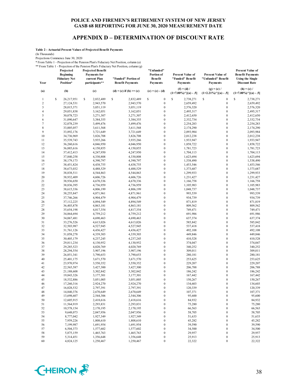## **APPENDIX D – DETERMINATION OF DISCOUNT RATE**

**Table 2 - Actuarial Present Values of Projected Benefit Payments**

(In Thousands)

Projections Commence June 30, 2020

\* From Table 1 - Projection of the Pension Plan's Fiduciary Net Position, column (a)

\*\* From Table 1 - Projection of the Pension Plan's Fiduciary Net Position, column (g)

|                  | Projected<br><b>Beginning</b><br><b>Fiduciary Net</b> | <b>Projected Benefit</b><br><b>Payments</b> for<br>current Plan | "Funded" Portion of          | "Unfunded"<br>Portion of<br><b>Benefit</b> | <b>Present Value of</b><br>"Funded" Benefit           | <b>Present Value of</b><br>"Unfunded" Benefit         | <b>Present Value of</b><br><b>Benefit Payments</b><br><b>Using the Single</b> |  |
|------------------|-------------------------------------------------------|-----------------------------------------------------------------|------------------------------|--------------------------------------------|-------------------------------------------------------|-------------------------------------------------------|-------------------------------------------------------------------------------|--|
| Year             | Position*                                             | participants**                                                  | <b>Benefit Payments</b>      | <b>Payments</b>                            | <b>Payments</b>                                       | <b>Payments</b>                                       | <b>Discount Rate</b>                                                          |  |
| (a)              | (b)                                                   | (c)                                                             | $(d) = (c)$ if $(b) \ge (c)$ | $(e) = (c) - (d)$                          | $(f) = (d) /$<br>$(1+7.00\%)$ <sup>^</sup> [(a) - .5] | $(g) = (e) /$<br>$(1+2.21\%)$ <sup>^</sup> [(a) - .5] | $(h) = (c) /$<br>$(1+7.00\%)^{\wedge}[(a) - .5]$                              |  |
| $\mathbf{1}$     | \$<br>26,217,951                                      | \$<br>2,832,489                                                 | s<br>2,832,489               | \$<br>$\boldsymbol{0}$                     | \$<br>2,738,271                                       | \$<br>$\boldsymbol{0}$                                | \$<br>2,738,271                                                               |  |
| $\boldsymbol{2}$ | 27,124,531                                            | 2,943,570                                                       | 2,943,570                    | $\boldsymbol{0}$                           | 2,659,492                                             | $\boldsymbol{0}$                                      | 2,659,492                                                                     |  |
| $\mathfrak{Z}$   | 28,015,371                                            | 3,051,119                                                       | 3,051,119                    | $\boldsymbol{0}$                           | 2,576,320                                             | $\boldsymbol{0}$                                      | 2,576,320                                                                     |  |
| $\overline{4}$   | 29,051,838                                            | 3,162,051                                                       | 3,162,051                    | $\boldsymbol{0}$                           | 2,495,317                                             | $\boldsymbol{0}$                                      | 2,495,317                                                                     |  |
| 5                | 30,078,723                                            | 3,271,307                                                       | 3,271,307                    | $\boldsymbol{0}$                           | 2,412,650                                             | $\boldsymbol{0}$                                      | 2,412,650                                                                     |  |
| 6                | 31,090,647                                            | 3,384,355                                                       | 3,384,355                    | $\boldsymbol{0}$                           | 2,332,734                                             | $\boldsymbol{0}$                                      | 2,332,734                                                                     |  |
| $\sqrt{ }$       | 32,078,239                                            | 3,499,476                                                       | 3,499,476                    | $\boldsymbol{0}$                           | 2,254,283                                             | $\boldsymbol{0}$<br>$\boldsymbol{0}$                  | 2,254,283                                                                     |  |
| $\,$ 8 $\,$<br>9 | 33,005,057<br>33,892,176                              | 3,611,568<br>3,721,649                                          | 3,611,568<br>3,721,649       | $\boldsymbol{0}$<br>$\boldsymbol{0}$       | 2,174,290<br>2,093,984                                | $\boldsymbol{0}$                                      | 2,174,290<br>2,093,984                                                        |  |
| 10               | 34,736,969                                            | 3,826,708                                                       | 3,826,708                    | $\boldsymbol{0}$                           | 2,012,238                                             | $\boldsymbol{0}$                                      | 2,012,238                                                                     |  |
| 11               | 35,539,743                                            | 3,935,266                                                       | 3,935,266                    | $\boldsymbol{0}$                           | 1,933,947                                             | $\boldsymbol{0}$                                      | 1,933,947                                                                     |  |
| 12               | 36,260,616                                            | 4,046,950                                                       | 4,046,950                    | $\boldsymbol{0}$                           | 1,858,722                                             | $\boldsymbol{0}$                                      | 1,858,722                                                                     |  |
| 13               | 36,885,616                                            | 4,150,855                                                       | 4,150,855                    | $\boldsymbol{0}$                           | 1,781,723                                             | $\boldsymbol{0}$                                      | 1,781,723                                                                     |  |
| 14               | 37,412,413                                            | 4,247,950                                                       | 4,247,950                    | $\boldsymbol{0}$                           | 1,704,113                                             | $\boldsymbol{0}$                                      | 1,704,113                                                                     |  |
| 15               | 37,840,258                                            | 4,330,808                                                       | 4,330,808                    | $\boldsymbol{0}$                           | 1,623,694                                             | $\boldsymbol{0}$                                      | 1,623,694                                                                     |  |
| 16               | 38,179,173                                            | 4,390,797                                                       | 4,390,797                    | $\boldsymbol{0}$                           | 1,538,490                                             | $\boldsymbol{0}$                                      | 1,538,490                                                                     |  |
| 17               | 38,451,824                                            | 4,438,755                                                       | 4,438,755                    | $\boldsymbol{0}$                           | 1,453,546                                             | $\boldsymbol{0}$                                      | 1,453,546                                                                     |  |
| 18               | 38,673,032                                            | 4,488,529                                                       | 4,488,529                    | $\boldsymbol{0}$                           | 1,373,687                                             | $\boldsymbol{0}$                                      | 1,373,687                                                                     |  |
| 19               | 38,838,511                                            | 4,544,863                                                       | 4,544,863                    | $\boldsymbol{0}$                           | 1,299,933                                             | $\boldsymbol{0}$                                      | 1,299,933                                                                     |  |
| 20               | 38,932,409                                            | 4,606,726                                                       | 4,606,726                    | $\boldsymbol{0}$                           | 1,231,427                                             | $\boldsymbol{0}$                                      | 1,231,427                                                                     |  |
| 21               | 38,936,650                                            | 4,670,336                                                       | 4,670,336                    | $\boldsymbol{0}$                           | 1,166,758                                             | $\boldsymbol{0}$                                      | 1,166,758                                                                     |  |
| 22               | 38,836,395                                            | 4,736,959                                                       | 4,736,959                    | $\boldsymbol{0}$                           | 1,105,983                                             | $\boldsymbol{0}$                                      | 1,105,983                                                                     |  |
| 23               | 38,615,336                                            | 4,806,199                                                       | 4,806,199                    | $\boldsymbol{0}$                           | 1,048,737                                             | $\boldsymbol{0}$                                      | 1,048,737                                                                     |  |
| 24               | 38,255,847                                            | 4,871,961                                                       | 4,871,961                    | $\boldsymbol{0}$                           | 993,539                                               | $\boldsymbol{0}$                                      | 993,539                                                                       |  |
| 25               | 37,746,266                                            | 4,904,479                                                       | 4,904,479                    | $\boldsymbol{0}$                           | 934,739                                               | $\boldsymbol{0}$                                      | 934,739                                                                       |  |
| 26               | 37,112,225                                            | 4,894,549                                                       | 4,894,549                    | $\boldsymbol{0}$                           | 871,819                                               | $\boldsymbol{0}$                                      | 871,819                                                                       |  |
| 27               | 36,403,878                                            | 4,863,181                                                       | 4,863,181                    | $\boldsymbol{0}$                           | 809,562                                               | $\boldsymbol{0}$                                      | 809,562                                                                       |  |
| 28               | 35,654,198                                            | 4,817,354                                                       | 4,817,354                    | $\boldsymbol{0}$                           | 749,471                                               | $\boldsymbol{0}$                                      | 749,471                                                                       |  |
| 29               | 34,864,694                                            | 4,759,212                                                       | 4,759,212                    | $\boldsymbol{0}$                           | 691,986                                               | $\boldsymbol{0}$                                      | 691,986                                                                       |  |
| 30               | 34,067,481                                            | 4,690,463                                                       | 4,690,463                    | $\boldsymbol{0}$                           | 637,374                                               | $\boldsymbol{0}$                                      | 637,374                                                                       |  |
| 31               | 33,276,526                                            | 4,613,026                                                       | 4,613,026                    | $\boldsymbol{0}$                           | 585,842                                               | $\boldsymbol{0}$                                      | 585,842                                                                       |  |
| 32               | 32,503,987                                            | 4,527,945                                                       | 4,527,945                    | $\boldsymbol{0}$                           | 537,418                                               | $\boldsymbol{0}$                                      | 537,418                                                                       |  |
| 33               | 31,761,126                                            | 4,436,427                                                       | 4,436,427                    | $\boldsymbol{0}$                           | 492,108                                               | $\boldsymbol{0}$                                      | 492,108                                                                       |  |
| 34               | 31,058,278                                            | 4,339,303                                                       | 4,339,303                    | $\boldsymbol{0}$                           | 449,846                                               | $\boldsymbol{0}$                                      | 449,846                                                                       |  |
| 35<br>36         | 30,405,179<br>29,811,234                              | 4,237,245<br>4,130,952                                          | 4,237,245<br>4,130,952       | $\boldsymbol{0}$<br>$\boldsymbol{0}$       | 410,528<br>374,047                                    | $\boldsymbol{0}$<br>$\boldsymbol{0}$                  | 410,528<br>374,047                                                            |  |
| 37               | 29,285,523                                            | 4,020,769                                                       | 4,020,769                    | $\boldsymbol{0}$                           | 340,252                                               | $\boldsymbol{0}$                                      | 340,252                                                                       |  |
| 38               | 28,294,554                                            | 3,907,196                                                       | 3,907,196                    | $\boldsymbol{0}$                           | 309,011                                               | $\boldsymbol{0}$                                      | 309,011                                                                       |  |
| 39               | 26,851,341                                            | 3,790,653                                                       | 3,790,653                    | $\boldsymbol{0}$                           | 280,181                                               | $\boldsymbol{0}$                                      | 280,181                                                                       |  |
| 40               | 25,401,175                                            | 3,671,570                                                       | 3,671,570                    | $\boldsymbol{0}$                           | 253,625                                               | $\boldsymbol{0}$                                      | 253,625                                                                       |  |
| 41               | 23,970,974                                            | 3,550,352                                                       | 3,550,352                    | $\boldsymbol{0}$                           | 229,207                                               | $\boldsymbol{0}$                                      | 229,207                                                                       |  |
| 42               | 22,565,587                                            | 3,427,300                                                       | 3,427,300                    | $\boldsymbol{0}$                           | 206,788                                               | $\boldsymbol{0}$                                      | 206,788                                                                       |  |
| 43               | 21,188,608                                            | 3,302,842                                                       | 3,302,842                    | $\boldsymbol{0}$                           | 186,242                                               | $\boldsymbol{0}$                                      | 186,242                                                                       |  |
| 44               | 19,843,326                                            | 3,177,301                                                       | 3,177,301                    | $\boldsymbol{0}$                           | 167,442                                               | $\boldsymbol{0}$                                      | 167,442                                                                       |  |
| 45               | 18,532,886                                            | 3,051,005                                                       | 3,051,005                    | $\boldsymbol{0}$                           | 150,267                                               | $\boldsymbol{0}$                                      | 150,267                                                                       |  |
| 46               | 17,260,316                                            | 2,924,270                                                       | 2,924,270                    | $\boldsymbol{0}$                           | 134,603                                               | $\boldsymbol{0}$                                      | 134,603                                                                       |  |
| 47               | 16,028,532                                            | 2,797,391                                                       | 2,797,391                    | $\mathbf{0}$                               | 120,339                                               | $\mathbf{0}$                                          | 120,339                                                                       |  |
| 48               | 14,840,376                                            | 2,670,649                                                       | 2,670,649                    | $\boldsymbol{0}$                           | 107,371                                               | $\boldsymbol{0}$                                      | 107,371                                                                       |  |
| 49               | 13,698,607                                            | 2,544,306                                                       | 2,544,306                    | $\boldsymbol{0}$                           | 95,600                                                | $\boldsymbol{0}$                                      | 95,600                                                                        |  |
| 50               | 12,605,915                                            | 2,418,616                                                       | 2,418,616                    | $\boldsymbol{0}$                           | 84,932                                                | $\boldsymbol{0}$                                      | 84,932                                                                        |  |
| 51               | 11,564,919                                            | 2,293,831                                                       | 2,293,831                    | $\boldsymbol{0}$                           | 75,280                                                | $\boldsymbol{0}$                                      | 75,280                                                                        |  |
| 52               | 10,578,154                                            | 2,170,195                                                       | 2,170,195                    | $\boldsymbol{0}$                           | 66,563                                                | $\boldsymbol{0}$                                      | 66,563                                                                        |  |
| 53               | 9,648,073                                             | 2,047,956                                                       | 2,047,956                    | $\boldsymbol{0}$                           | 58,705                                                | $\boldsymbol{0}$                                      | 58,705                                                                        |  |
| 54               | 8,777,042                                             | 1,927,349                                                       | 1,927,349                    | $\boldsymbol{0}$                           | 51,633                                                | $\boldsymbol{0}$                                      | 51,633                                                                        |  |
| 55               | 7,959,226                                             | 1,808,610                                                       | 1,808,610                    | $\boldsymbol{0}$                           | 45,282                                                | $\boldsymbol{0}$                                      | 45,282                                                                        |  |
| 56               | 7,199,987                                             | 1,691,954                                                       | 1,691,954                    | $\boldsymbol{0}$                           | 39,590                                                | $\boldsymbol{0}$                                      | 39,590                                                                        |  |
| 57               | 6,504,373                                             | 1,577,602                                                       | 1,577,602                    | $\boldsymbol{0}$                           | 34,500                                                | $\boldsymbol{0}$                                      | 34,500                                                                        |  |
| 58               | 5,875,159                                             | 1,465,763                                                       | 1,465,763                    | $\boldsymbol{0}$                           | 29,957                                                | $\boldsymbol{0}$                                      | 29,957                                                                        |  |
| 59<br>60         | 5,314,451                                             | 1,356,648<br>1,250,467                                          | 1,356,648<br>1,250,467       | $\boldsymbol{0}$<br>$\boldsymbol{0}$       | 25,913<br>22,322                                      | $\boldsymbol{0}$<br>$\boldsymbol{0}$                  | 25,913<br>22,322                                                              |  |
|                  | 4,824,125                                             |                                                                 |                              |                                            |                                                       |                                                       |                                                                               |  |

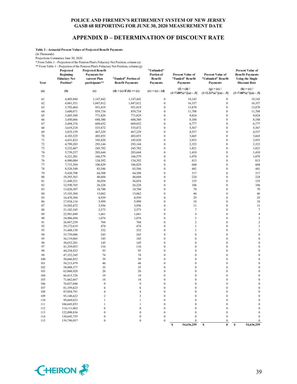## **APPENDIX D – DETERMINATION OF DISCOUNT RATE**

**Table 2 - Actuarial Present Values of Projected Benefit Payments**

(In Thousands)

Projections Commence June 30, 2020

\* From Table 1 - Projection of the Pension Plan's Fiduciary Net Position, column (a)

\*\* From Table 1 - Projection of the Pension Plan's Fiduciary Net Position, column (g)

| Year | Projected<br><b>Beginning</b><br><b>Fiduciary Net</b><br>Position* | <b>Projected Benefit</b><br><b>Payments</b> for<br>current Plan<br>participants** | From Table 1 - Projection of the Pension Plan's Figuriary Net Position, column (g)<br>"Funded" Portion of<br><b>Benefit Payments</b> | "Unfunded"<br>Portion of<br><b>Benefit</b><br><b>Payments</b> | <b>Present Value of</b><br>"Funded" Benefit<br><b>Payments</b> | <b>Present Value of</b><br>"Unfunded" Benefit<br>Payments | <b>Present Value of</b><br><b>Benefit Payments</b><br><b>Using the Single</b><br><b>Discount Rate</b> |
|------|--------------------------------------------------------------------|-----------------------------------------------------------------------------------|--------------------------------------------------------------------------------------------------------------------------------------|---------------------------------------------------------------|----------------------------------------------------------------|-----------------------------------------------------------|-------------------------------------------------------------------------------------------------------|
| (a)  | (b)                                                                | (c)                                                                               | $(d) = (c)$ if $(b) \ge (c)$                                                                                                         | $(e) = (c) - (d)$                                             | $(f) = (d) /$<br>$(1+7.00\%)$ <sup>^</sup> [(a) - .5]          | $(g) = (e) /$<br>$(1+2.21\%)$ <sup>^</sup> [(a) - .5]     | $(h) = (c) /$<br>$(1+7.00\%)$ <sup>^</sup> [(a) - .5]                                                 |
| 61   | 4,405,944                                                          | 1,147,442                                                                         | 1,147,442                                                                                                                            | $\boldsymbol{0}$                                              | 19,143                                                         | $\boldsymbol{0}$                                          | 19,143                                                                                                |
| 62   | 4,061,551                                                          | 1,047,812                                                                         | 1,047,812                                                                                                                            | $\boldsymbol{0}$                                              | 16,337                                                         | $\boldsymbol{0}$                                          | 16,337                                                                                                |
| 63   | 3,792,464                                                          | 951,819                                                                           | 951,819                                                                                                                              | $\boldsymbol{0}$                                              | 13,870                                                         | $\boldsymbol{0}$                                          | 13,870                                                                                                |
| 64   | 3,600,071                                                          | 859,734                                                                           | 859,734                                                                                                                              | $\boldsymbol{0}$                                              | 11,708                                                         | $\boldsymbol{0}$                                          | 11,708                                                                                                |
| 65   | 3,485,588                                                          | 771,829                                                                           | 771,829                                                                                                                              | $\boldsymbol{0}$                                              | 9,824                                                          | $\boldsymbol{0}$                                          | 9,824                                                                                                 |
| 66   | 3,450,066                                                          | 688,380                                                                           | 688,380                                                                                                                              | $\boldsymbol{0}$                                              | 8,188                                                          | $\boldsymbol{0}$                                          | 8,188                                                                                                 |
| 67   | 3,494,376                                                          | 609,652                                                                           | 609,652                                                                                                                              | $\boldsymbol{0}$                                              | 6,777                                                          | $\boldsymbol{0}$                                          | 6,777                                                                                                 |
| 68   | 3,619,218                                                          | 535,872                                                                           | 535,872                                                                                                                              | $\boldsymbol{0}$                                              | 5,567                                                          | $\boldsymbol{0}$                                          | 5,567                                                                                                 |
| 69   | 3,825,159                                                          | 467,229                                                                           | 467,229                                                                                                                              | $\boldsymbol{0}$                                              | 4,537                                                          | $\boldsymbol{0}$                                          | 4,537                                                                                                 |
| 70   | 4,103,525                                                          | 403,853                                                                           | 403,853                                                                                                                              | $\boldsymbol{0}$                                              | 3,665                                                          | $\boldsymbol{0}$                                          | 3,665                                                                                                 |
| 71   | 4,431,823                                                          | 345,820                                                                           | 345,820                                                                                                                              | $\boldsymbol{0}$                                              | 2,933                                                          | $\boldsymbol{0}$                                          | 2,933                                                                                                 |
| 72   | 4,799,203                                                          | 293,144                                                                           | 293,144                                                                                                                              | $\boldsymbol{0}$                                              | 2,323                                                          | $\boldsymbol{0}$                                          | 2,323                                                                                                 |
| 73   | 5,232,467                                                          | 245,782                                                                           | 245,782                                                                                                                              | $\boldsymbol{0}$                                              | 1,821                                                          | $\boldsymbol{0}$                                          | 1,821                                                                                                 |
| 74   | 5,739,237                                                          | 203,644                                                                           | 203,644                                                                                                                              | $\boldsymbol{0}$                                              | 1,410                                                          | $\boldsymbol{0}$                                          | 1,410                                                                                                 |
| 75   | 6,321,501                                                          | 166,579                                                                           | 166,579                                                                                                                              | $\boldsymbol{0}$                                              | 1,078                                                          | $\boldsymbol{0}$                                          | 1,078                                                                                                 |
| 76   | 6,980,004                                                          | 134,392                                                                           | 134,392                                                                                                                              | $\boldsymbol{0}$                                              | 813                                                            | $\boldsymbol{0}$                                          | 813                                                                                                   |
| 77   | 7,715,394                                                          | 106,829                                                                           | 106,829                                                                                                                              | $\boldsymbol{0}$                                              | 604                                                            | $\boldsymbol{0}$                                          | 604                                                                                                   |
| 78   | 8,528,548                                                          | 83,586                                                                            | 83,586                                                                                                                               | $\boldsymbol{0}$                                              | 441                                                            | $\boldsymbol{0}$                                          | 441                                                                                                   |
| 79   | 9,420,708                                                          | 64,308                                                                            | 64,308                                                                                                                               | $\boldsymbol{0}$                                              | 317                                                            | $\boldsymbol{0}$                                          | 317                                                                                                   |
| 80   | 10,393,563                                                         | 48,604                                                                            | 48,604                                                                                                                               | $\boldsymbol{0}$                                              | 224                                                            | $\boldsymbol{0}$                                          | 224                                                                                                   |
| 81   | 11,449,321                                                         | 36,054                                                                            | 36,054                                                                                                                               | $\boldsymbol{0}$                                              | 155                                                            | $\boldsymbol{0}$                                          | 155                                                                                                   |
| 82   | 12,590,765                                                         | 26,228                                                                            | 26,228                                                                                                                               | $\boldsymbol{0}$                                              | 106                                                            | $\boldsymbol{0}$                                          | 106                                                                                                   |
| 83   | 13,820,307                                                         | 18,700                                                                            | 18,700                                                                                                                               | $\boldsymbol{0}$                                              | 70                                                             | $\boldsymbol{0}$                                          | 70                                                                                                    |
| 84   | 15,103,304                                                         | 13,062                                                                            | 13,062                                                                                                                               | $\boldsymbol{0}$                                              | 46                                                             | $\boldsymbol{0}$                                          | 46                                                                                                    |
| 85   | 16,470,304                                                         | 8,939                                                                             | 8,939                                                                                                                                | $\boldsymbol{0}$                                              | 29                                                             | $\boldsymbol{0}$                                          | 29                                                                                                    |
| 86   | 17,934,116                                                         | 5,999                                                                             | 5,999                                                                                                                                | $\boldsymbol{0}$                                              | 18                                                             | $\boldsymbol{0}$                                          | 18                                                                                                    |
| 87   | 19,502,472                                                         | 3,956                                                                             | 3,956                                                                                                                                | $\boldsymbol{0}$                                              | 11                                                             | $\overline{0}$                                            | 11                                                                                                    |
| 88   | 21,182,345                                                         | 2,573                                                                             | 2,573                                                                                                                                | $\boldsymbol{0}$                                              | $\boldsymbol{7}$                                               | $\boldsymbol{0}$                                          | $\tau$                                                                                                |
| 89   | 22,981,049                                                         | 1,661                                                                             | 1,661                                                                                                                                | $\boldsymbol{0}$                                              | $\overline{\mathbf{4}}$                                        | $\boldsymbol{0}$                                          | $\overline{4}$                                                                                        |
| 90   | 24,906,494                                                         | 1,074                                                                             | 1,074                                                                                                                                | $\boldsymbol{0}$                                              | 3                                                              | $\boldsymbol{0}$                                          | 3                                                                                                     |
| 91   | 26,967,259                                                         | 704                                                                               | 704                                                                                                                                  | $\boldsymbol{0}$                                              | $\overline{c}$                                                 | $\boldsymbol{0}$                                          | $\sqrt{2}$                                                                                            |
| 92   | 29,172,619                                                         | 474                                                                               | 474                                                                                                                                  | $\boldsymbol{0}$                                              | $\mathbf{1}$                                                   | $\boldsymbol{0}$                                          | $\mathbf{1}$                                                                                          |
| 93   | 31,468,138                                                         | 332                                                                               | 332                                                                                                                                  | $\boldsymbol{0}$                                              | $\mathbf{1}$                                                   | $\boldsymbol{0}$                                          | $\mathbf{1}$                                                                                          |
| 94   | 33,739,086                                                         | 243                                                                               | 243                                                                                                                                  | $\boldsymbol{0}$                                              | $\boldsymbol{0}$                                               | $\boldsymbol{0}$                                          | $\boldsymbol{0}$                                                                                      |
| 95   | 36,119,065                                                         | 185                                                                               | 185                                                                                                                                  | $\boldsymbol{0}$                                              | $\boldsymbol{0}$                                               | $\boldsymbol{0}$                                          | $\boldsymbol{0}$                                                                                      |
| 96   | 38,652,201                                                         | 145                                                                               | 145                                                                                                                                  | $\boldsymbol{0}$                                              | $\boldsymbol{0}$                                               | $\boldsymbol{0}$                                          | $\boldsymbol{0}$                                                                                      |
| 97   | 41,359,053                                                         | 116                                                                               | 116                                                                                                                                  | $\boldsymbol{0}$                                              | $\mathbf{0}$                                                   | $\boldsymbol{0}$                                          | $\boldsymbol{0}$                                                                                      |
| 98   | 44,254,432                                                         | 93                                                                                | 93                                                                                                                                   | $\boldsymbol{0}$                                              | $\mathbf{0}$                                                   | $\boldsymbol{0}$                                          | $\boldsymbol{0}$                                                                                      |
| 99   | 47,352,245                                                         | 74                                                                                | 74                                                                                                                                   | $\boldsymbol{0}$                                              | $\mathbf{0}$                                                   | $\boldsymbol{0}$                                          | $\boldsymbol{0}$                                                                                      |
| 100  | 50,666,852                                                         | 59                                                                                | 59                                                                                                                                   | $\boldsymbol{0}$                                              | $\mathbf{0}$                                                   | $\boldsymbol{0}$                                          | $\boldsymbol{0}$                                                                                      |
| 101  | 54,213,479                                                         | 46                                                                                | 46                                                                                                                                   | $\boldsymbol{0}$                                              | $\boldsymbol{0}$                                               | $\boldsymbol{0}$                                          | $\boldsymbol{0}$                                                                                      |
| 102  | 58,008,377                                                         | 35                                                                                | 35                                                                                                                                   | $\boldsymbol{0}$                                              | $\boldsymbol{0}$                                               | $\boldsymbol{0}$                                          | $\boldsymbol{0}$                                                                                      |
| 103  | 62,068,928                                                         | 26                                                                                | 26                                                                                                                                   | $\boldsymbol{0}$                                              | $\mathbf{0}$                                                   | $\boldsymbol{0}$                                          | $\boldsymbol{0}$                                                                                      |
| 104  | 66,413,726                                                         | 19                                                                                | 19                                                                                                                                   | $\boldsymbol{0}$                                              | $\mathbf{0}$                                                   | $\mathbf{0}$                                              | $\boldsymbol{0}$                                                                                      |
| 105  | 71,062,667                                                         | 14                                                                                | 14                                                                                                                                   | $\boldsymbol{0}$                                              | $\boldsymbol{0}$                                               | $\boldsymbol{0}$                                          | $\boldsymbol{0}$                                                                                      |
| 106  | 76,037,040                                                         | 9                                                                                 | $\mathbf Q$                                                                                                                          | $\theta$                                                      | $\theta$                                                       | $\theta$                                                  | $\Omega$                                                                                              |
| 107  | 81,359,623                                                         |                                                                                   | 6                                                                                                                                    | $\Omega$                                                      | 0                                                              | $\bf{0}$                                                  | $\boldsymbol{0}$                                                                                      |
| 108  | 87,054,791                                                         | $\overline{4}$                                                                    | 4                                                                                                                                    | $\boldsymbol{0}$                                              | $\theta$                                                       | $\mathbf{0}$                                              | $\boldsymbol{0}$                                                                                      |
| 109  | 93,148,622                                                         | $\overline{2}$                                                                    | $\overline{c}$                                                                                                                       | $\boldsymbol{0}$                                              | $\mathbf{0}$                                                   | $\mathbf{0}$                                              | $\boldsymbol{0}$                                                                                      |
| 110  | 99,669,023                                                         | $\mathbf{1}$                                                                      | 1                                                                                                                                    | $\boldsymbol{0}$                                              | $\theta$                                                       | $\boldsymbol{0}$                                          | $\boldsymbol{0}$                                                                                      |
| 111  | 106,645,853                                                        | 1                                                                                 | 1                                                                                                                                    | $\boldsymbol{0}$                                              |                                                                | $\mathbf{0}$                                              | $\boldsymbol{0}$                                                                                      |
| 112  | 114,111,062                                                        | $\mathbf{0}$                                                                      | $\mathbf{0}$                                                                                                                         | $\boldsymbol{0}$                                              | 0                                                              | $\mathbf{0}$                                              | $\boldsymbol{0}$                                                                                      |
| 113  | 122,098,836                                                        | $\mathbf{0}$                                                                      | $\mathbf{0}$                                                                                                                         | $\boldsymbol{0}$                                              | $\mathbf{0}$                                                   | $\mathbf{0}$                                              | $\boldsymbol{0}$                                                                                      |
| 114  | 130,645,755                                                        | $\boldsymbol{0}$                                                                  | $\boldsymbol{0}$                                                                                                                     | $\boldsymbol{0}$                                              | $\mathbf{0}$                                                   | $\boldsymbol{0}$                                          | $\boldsymbol{0}$                                                                                      |
| 115  | 139,790,957                                                        | $\boldsymbol{0}$                                                                  | $\boldsymbol{0}$                                                                                                                     | $\boldsymbol{0}$                                              | 0                                                              | $\boldsymbol{0}$                                          | 0                                                                                                     |
|      |                                                                    |                                                                                   |                                                                                                                                      |                                                               | $\mathbb S$<br>54,636,259                                      | \$<br>$\bf{0}$                                            | $\pmb{\mathbb{S}}$<br>54,636,259                                                                      |

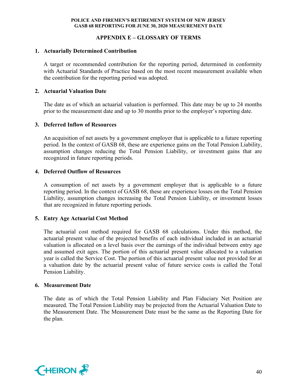## **APPENDIX E – GLOSSARY OF TERMS**

## **1. Actuarially Determined Contribution**

A target or recommended contribution for the reporting period, determined in conformity with Actuarial Standards of Practice based on the most recent measurement available when the contribution for the reporting period was adopted.

## **2. Actuarial Valuation Date**

The date as of which an actuarial valuation is performed. This date may be up to 24 months prior to the measurement date and up to 30 months prior to the employer's reporting date.

### **3. Deferred Inflow of Resources**

An acquisition of net assets by a government employer that is applicable to a future reporting period. In the context of GASB 68, these are experience gains on the Total Pension Liability, assumption changes reducing the Total Pension Liability, or investment gains that are recognized in future reporting periods.

## **4. Deferred Outflow of Resources**

A consumption of net assets by a government employer that is applicable to a future reporting period. In the context of GASB 68, these are experience losses on the Total Pension Liability, assumption changes increasing the Total Pension Liability, or investment losses that are recognized in future reporting periods.

## **5. Entry Age Actuarial Cost Method**

The actuarial cost method required for GASB 68 calculations. Under this method, the actuarial present value of the projected benefits of each individual included in an actuarial valuation is allocated on a level basis over the earnings of the individual between entry age and assumed exit ages. The portion of this actuarial present value allocated to a valuation year is called the Service Cost. The portion of this actuarial present value not provided for at a valuation date by the actuarial present value of future service costs is called the Total Pension Liability.

#### **6. Measurement Date**

The date as of which the Total Pension Liability and Plan Fiduciary Net Position are measured. The Total Pension Liability may be projected from the Actuarial Valuation Date to the Measurement Date. The Measurement Date must be the same as the Reporting Date for the plan.